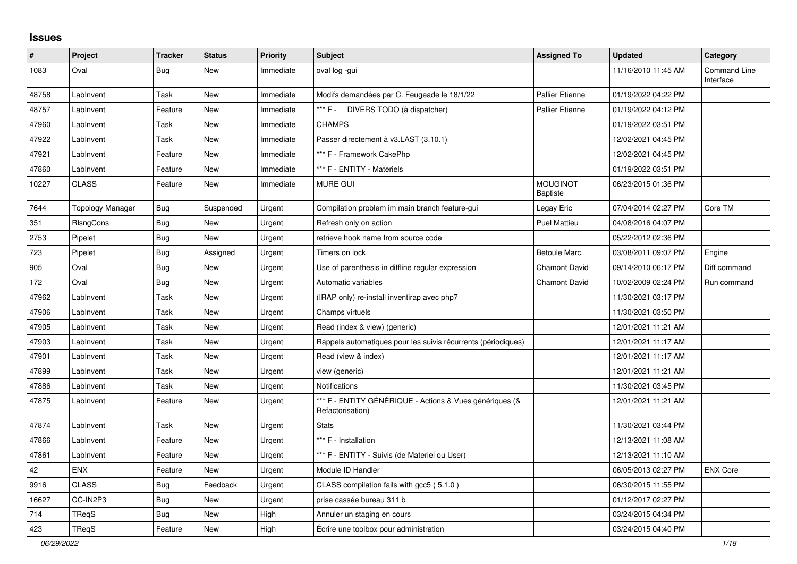## **Issues**

| $\vert$ # | Project                 | <b>Tracker</b> | <b>Status</b> | <b>Priority</b> | <b>Subject</b>                                                              | <b>Assigned To</b>                 | <b>Updated</b>      | Category                         |
|-----------|-------------------------|----------------|---------------|-----------------|-----------------------------------------------------------------------------|------------------------------------|---------------------|----------------------------------|
| 1083      | Oval                    | Bug            | <b>New</b>    | Immediate       | oval log -gui                                                               |                                    | 11/16/2010 11:45 AM | <b>Command Line</b><br>Interface |
| 48758     | LabInvent               | Task           | <b>New</b>    | Immediate       | Modifs demandées par C. Feugeade le 18/1/22                                 | Pallier Etienne                    | 01/19/2022 04:22 PM |                                  |
| 48757     | LabInvent               | Feature        | <b>New</b>    | Immediate       | *** F - DIVERS TODO (à dispatcher)                                          | <b>Pallier Etienne</b>             | 01/19/2022 04:12 PM |                                  |
| 47960     | LabInvent               | Task           | <b>New</b>    | Immediate       | <b>CHAMPS</b>                                                               |                                    | 01/19/2022 03:51 PM |                                  |
| 47922     | LabInvent               | Task           | <b>New</b>    | Immediate       | Passer directement à v3.LAST (3.10.1)                                       |                                    | 12/02/2021 04:45 PM |                                  |
| 47921     | LabInvent               | Feature        | <b>New</b>    | Immediate       | *** F - Framework CakePhp                                                   |                                    | 12/02/2021 04:45 PM |                                  |
| 47860     | LabInvent               | Feature        | <b>New</b>    | Immediate       | *** F - ENTITY - Materiels                                                  |                                    | 01/19/2022 03:51 PM |                                  |
| 10227     | <b>CLASS</b>            | Feature        | <b>New</b>    | Immediate       | <b>MURE GUI</b>                                                             | <b>MOUGINOT</b><br><b>Baptiste</b> | 06/23/2015 01:36 PM |                                  |
| 7644      | <b>Topology Manager</b> | <b>Bug</b>     | Suspended     | Urgent          | Compilation problem im main branch feature-gui                              | Legay Eric                         | 07/04/2014 02:27 PM | Core TM                          |
| 351       | RIsngCons               | <b>Bug</b>     | <b>New</b>    | Urgent          | Refresh only on action                                                      | <b>Puel Mattieu</b>                | 04/08/2016 04:07 PM |                                  |
| 2753      | Pipelet                 | <b>Bug</b>     | <b>New</b>    | Urgent          | retrieve hook name from source code                                         |                                    | 05/22/2012 02:36 PM |                                  |
| 723       | Pipelet                 | <b>Bug</b>     | Assigned      | Urgent          | Timers on lock                                                              | <b>Betoule Marc</b>                | 03/08/2011 09:07 PM | Engine                           |
| 905       | Oval                    | <b>Bug</b>     | <b>New</b>    | Urgent          | Use of parenthesis in diffline regular expression                           | <b>Chamont David</b>               | 09/14/2010 06:17 PM | Diff command                     |
| 172       | Oval                    | Bug            | New           | Urgent          | Automatic variables                                                         | <b>Chamont David</b>               | 10/02/2009 02:24 PM | Run command                      |
| 47962     | LabInvent               | Task           | <b>New</b>    | Urgent          | (IRAP only) re-install inventirap avec php7                                 |                                    | 11/30/2021 03:17 PM |                                  |
| 47906     | LabInvent               | Task           | <b>New</b>    | Urgent          | Champs virtuels                                                             |                                    | 11/30/2021 03:50 PM |                                  |
| 47905     | LabInvent               | Task           | <b>New</b>    | Urgent          | Read (index & view) (generic)                                               |                                    | 12/01/2021 11:21 AM |                                  |
| 47903     | LabInvent               | Task           | <b>New</b>    | Urgent          | Rappels automatiques pour les suivis récurrents (périodiques)               |                                    | 12/01/2021 11:17 AM |                                  |
| 47901     | LabInvent               | Task           | <b>New</b>    | Urgent          | Read (view & index)                                                         |                                    | 12/01/2021 11:17 AM |                                  |
| 47899     | LabInvent               | Task           | New           | Urgent          | view (generic)                                                              |                                    | 12/01/2021 11:21 AM |                                  |
| 47886     | LabInvent               | Task           | <b>New</b>    | Urgent          | Notifications                                                               |                                    | 11/30/2021 03:45 PM |                                  |
| 47875     | LabInvent               | Feature        | <b>New</b>    | Urgent          | *** F - ENTITY GÉNÉRIQUE - Actions & Vues génériques (&<br>Refactorisation) |                                    | 12/01/2021 11:21 AM |                                  |
| 47874     | LabInvent               | Task           | <b>New</b>    | Urgent          | <b>Stats</b>                                                                |                                    | 11/30/2021 03:44 PM |                                  |
| 47866     | LabInvent               | Feature        | New           | Urgent          | *** F - Installation                                                        |                                    | 12/13/2021 11:08 AM |                                  |
| 47861     | LabInvent               | Feature        | <b>New</b>    | Urgent          | *** F - ENTITY - Suivis (de Materiel ou User)                               |                                    | 12/13/2021 11:10 AM |                                  |
| 42        | <b>ENX</b>              | Feature        | <b>New</b>    | Urgent          | Module ID Handler                                                           |                                    | 06/05/2013 02:27 PM | <b>ENX Core</b>                  |
| 9916      | <b>CLASS</b>            | Bug            | Feedback      | Urgent          | CLASS compilation fails with gcc5 (5.1.0)                                   |                                    | 06/30/2015 11:55 PM |                                  |
| 16627     | CC-IN2P3                | <b>Bug</b>     | <b>New</b>    | Urgent          | prise cassée bureau 311 b                                                   |                                    | 01/12/2017 02:27 PM |                                  |
| 714       | TReqS                   | Bug            | <b>New</b>    | High            | Annuler un staging en cours                                                 |                                    | 03/24/2015 04:34 PM |                                  |
| 423       | TReqS                   | Feature        | <b>New</b>    | High            | Écrire une toolbox pour administration                                      |                                    | 03/24/2015 04:40 PM |                                  |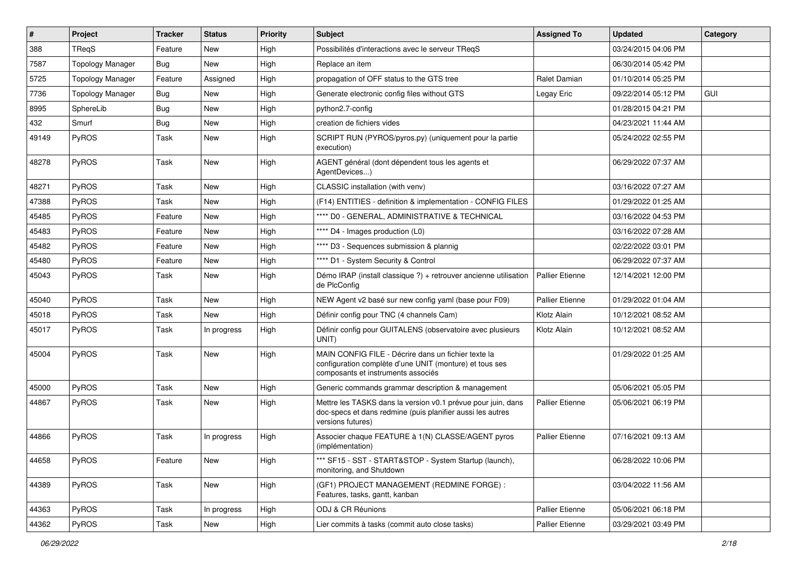| $\vert$ # | Project                 | <b>Tracker</b> | <b>Status</b> | <b>Priority</b> | <b>Subject</b>                                                                                                                                       | <b>Assigned To</b>     | <b>Updated</b>      | Category |
|-----------|-------------------------|----------------|---------------|-----------------|------------------------------------------------------------------------------------------------------------------------------------------------------|------------------------|---------------------|----------|
| 388       | TReqS                   | Feature        | New           | High            | Possibilités d'interactions avec le serveur TReqS                                                                                                    |                        | 03/24/2015 04:06 PM |          |
| 7587      | <b>Topology Manager</b> | <b>Bug</b>     | <b>New</b>    | High            | Replace an item                                                                                                                                      |                        | 06/30/2014 05:42 PM |          |
| 5725      | <b>Topology Manager</b> | Feature        | Assigned      | High            | propagation of OFF status to the GTS tree                                                                                                            | Ralet Damian           | 01/10/2014 05:25 PM |          |
| 7736      | <b>Topology Manager</b> | <b>Bug</b>     | New           | High            | Generate electronic config files without GTS                                                                                                         | Legay Eric             | 09/22/2014 05:12 PM | GUI      |
| 8995      | SphereLib               | Bug            | <b>New</b>    | High            | python2.7-config                                                                                                                                     |                        | 01/28/2015 04:21 PM |          |
| 432       | Smurf                   | <b>Bug</b>     | <b>New</b>    | High            | creation de fichiers vides                                                                                                                           |                        | 04/23/2021 11:44 AM |          |
| 49149     | PyROS                   | Task           | New           | High            | SCRIPT RUN (PYROS/pyros.py) (uniquement pour la partie<br>execution)                                                                                 |                        | 05/24/2022 02:55 PM |          |
| 48278     | PyROS                   | Task           | <b>New</b>    | High            | AGENT général (dont dépendent tous les agents et<br>AgentDevices)                                                                                    |                        | 06/29/2022 07:37 AM |          |
| 48271     | PyROS                   | Task           | <b>New</b>    | High            | CLASSIC installation (with venv)                                                                                                                     |                        | 03/16/2022 07:27 AM |          |
| 47388     | PyROS                   | Task           | New           | High            | (F14) ENTITIES - definition & implementation - CONFIG FILES                                                                                          |                        | 01/29/2022 01:25 AM |          |
| 45485     | PyROS                   | Feature        | <b>New</b>    | High            | **** D0 - GENERAL, ADMINISTRATIVE & TECHNICAL                                                                                                        |                        | 03/16/2022 04:53 PM |          |
| 45483     | PyROS                   | Feature        | New           | High            | **** D4 - Images production (L0)                                                                                                                     |                        | 03/16/2022 07:28 AM |          |
| 45482     | PyROS                   | Feature        | <b>New</b>    | High            | **** D3 - Sequences submission & plannig                                                                                                             |                        | 02/22/2022 03:01 PM |          |
| 45480     | PyROS                   | Feature        | New           | High            | **** D1 - System Security & Control                                                                                                                  |                        | 06/29/2022 07:37 AM |          |
| 45043     | PyROS                   | Task           | New           | High            | Démo IRAP (install classique ?) + retrouver ancienne utilisation<br>de PlcConfig                                                                     | Pallier Etienne        | 12/14/2021 12:00 PM |          |
| 45040     | PyROS                   | Task           | New           | High            | NEW Agent v2 basé sur new config yaml (base pour F09)                                                                                                | <b>Pallier Etienne</b> | 01/29/2022 01:04 AM |          |
| 45018     | PyROS                   | Task           | New           | High            | Définir config pour TNC (4 channels Cam)                                                                                                             | Klotz Alain            | 10/12/2021 08:52 AM |          |
| 45017     | <b>PyROS</b>            | Task           | In progress   | High            | Définir config pour GUITALENS (observatoire avec plusieurs<br>UNIT)                                                                                  | Klotz Alain            | 10/12/2021 08:52 AM |          |
| 45004     | PyROS                   | Task           | New           | High            | MAIN CONFIG FILE - Décrire dans un fichier texte la<br>configuration complète d'une UNIT (monture) et tous ses<br>composants et instruments associés |                        | 01/29/2022 01:25 AM |          |
| 45000     | PyROS                   | Task           | <b>New</b>    | High            | Generic commands grammar description & management                                                                                                    |                        | 05/06/2021 05:05 PM |          |
| 44867     | PyROS                   | Task           | New           | High            | Mettre les TASKS dans la version v0.1 prévue pour juin, dans<br>doc-specs et dans redmine (puis planifier aussi les autres<br>versions futures)      | <b>Pallier Etienne</b> | 05/06/2021 06:19 PM |          |
| 44866     | PyROS                   | Task           | In progress   | High            | Associer chaque FEATURE à 1(N) CLASSE/AGENT pyros<br>(implémentation)                                                                                | <b>Pallier Etienne</b> | 07/16/2021 09:13 AM |          |
| 44658     | PyROS                   | Feature        | <b>New</b>    | High            | *** SF15 - SST - START&STOP - System Startup (launch),<br>monitoring, and Shutdown                                                                   |                        | 06/28/2022 10:06 PM |          |
| 44389     | PyROS                   | Task           | New           | High            | (GF1) PROJECT MANAGEMENT (REDMINE FORGE) :<br>Features, tasks, gantt, kanban                                                                         |                        | 03/04/2022 11:56 AM |          |
| 44363     | PyROS                   | Task           | In progress   | High            | ODJ & CR Réunions                                                                                                                                    | Pallier Etienne        | 05/06/2021 06:18 PM |          |
| 44362     | PyROS                   | Task           | <b>New</b>    | High            | Lier commits à tasks (commit auto close tasks)                                                                                                       | Pallier Etienne        | 03/29/2021 03:49 PM |          |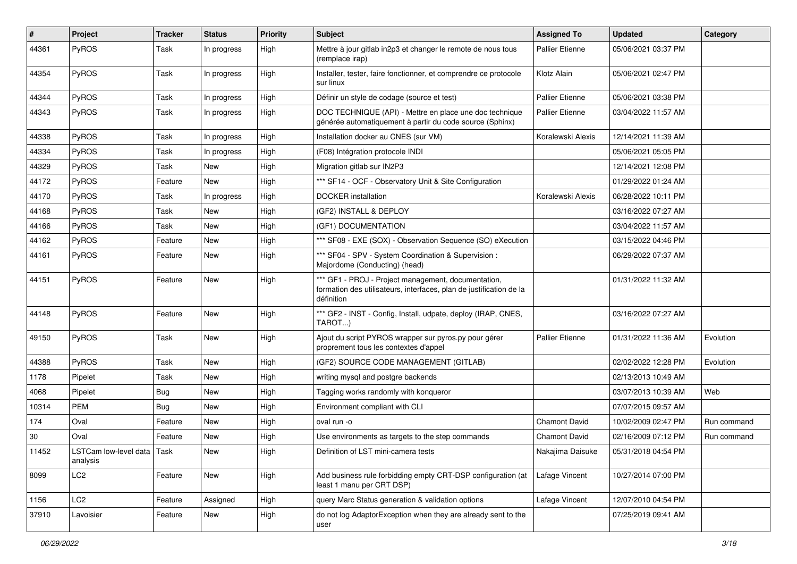| #     | Project                                | <b>Tracker</b> | <b>Status</b> | <b>Priority</b> | <b>Subject</b>                                                                                                                           | <b>Assigned To</b>     | <b>Updated</b>      | Category    |
|-------|----------------------------------------|----------------|---------------|-----------------|------------------------------------------------------------------------------------------------------------------------------------------|------------------------|---------------------|-------------|
| 44361 | PyROS                                  | Task           | In progress   | High            | Mettre à jour gitlab in2p3 et changer le remote de nous tous<br>(remplace irap)                                                          | <b>Pallier Etienne</b> | 05/06/2021 03:37 PM |             |
| 44354 | <b>PyROS</b>                           | Task           | In progress   | High            | Installer, tester, faire fonctionner, et comprendre ce protocole<br>sur linux                                                            | Klotz Alain            | 05/06/2021 02:47 PM |             |
| 44344 | PyROS                                  | Task           | In progress   | High            | Définir un style de codage (source et test)                                                                                              | <b>Pallier Etienne</b> | 05/06/2021 03:38 PM |             |
| 44343 | PyROS                                  | Task           | In progress   | High            | DOC TECHNIQUE (API) - Mettre en place une doc technique<br>générée automatiquement à partir du code source (Sphinx)                      | <b>Pallier Etienne</b> | 03/04/2022 11:57 AM |             |
| 44338 | PyROS                                  | Task           | In progress   | High            | Installation docker au CNES (sur VM)                                                                                                     | Koralewski Alexis      | 12/14/2021 11:39 AM |             |
| 44334 | PyROS                                  | Task           | In progress   | High            | (F08) Intégration protocole INDI                                                                                                         |                        | 05/06/2021 05:05 PM |             |
| 44329 | PyROS                                  | Task           | New           | High            | Migration gitlab sur IN2P3                                                                                                               |                        | 12/14/2021 12:08 PM |             |
| 44172 | PyROS                                  | Feature        | New           | High            | *** SF14 - OCF - Observatory Unit & Site Configuration                                                                                   |                        | 01/29/2022 01:24 AM |             |
| 44170 | PyROS                                  | Task           | In progress   | High            | DOCKER installation                                                                                                                      | Koralewski Alexis      | 06/28/2022 10:11 PM |             |
| 44168 | PyROS                                  | Task           | New           | High            | (GF2) INSTALL & DEPLOY                                                                                                                   |                        | 03/16/2022 07:27 AM |             |
| 44166 | PyROS                                  | Task           | New           | High            | (GF1) DOCUMENTATION                                                                                                                      |                        | 03/04/2022 11:57 AM |             |
| 44162 | PyROS                                  | Feature        | New           | High            | *** SF08 - EXE (SOX) - Observation Sequence (SO) eXecution                                                                               |                        | 03/15/2022 04:46 PM |             |
| 44161 | PyROS                                  | Feature        | New           | High            | *** SF04 - SPV - System Coordination & Supervision :<br>Majordome (Conducting) (head)                                                    |                        | 06/29/2022 07:37 AM |             |
| 44151 | PyROS                                  | Feature        | New           | High            | *** GF1 - PROJ - Project management, documentation,<br>formation des utilisateurs, interfaces, plan de justification de la<br>définition |                        | 01/31/2022 11:32 AM |             |
| 44148 | PyROS                                  | Feature        | New           | High            | *** GF2 - INST - Config, Install, udpate, deploy (IRAP, CNES,<br>TAROT)                                                                  |                        | 03/16/2022 07:27 AM |             |
| 49150 | PyROS                                  | Task           | New           | High            | Ajout du script PYROS wrapper sur pyros.py pour gérer<br>proprement tous les contextes d'appel                                           | <b>Pallier Etienne</b> | 01/31/2022 11:36 AM | Evolution   |
| 44388 | PyROS                                  | Task           | New           | High            | (GF2) SOURCE CODE MANAGEMENT (GITLAB)                                                                                                    |                        | 02/02/2022 12:28 PM | Evolution   |
| 1178  | Pipelet                                | Task           | New           | High            | writing mysql and postgre backends                                                                                                       |                        | 02/13/2013 10:49 AM |             |
| 4068  | Pipelet                                | Bug            | New           | High            | Tagging works randomly with konqueror                                                                                                    |                        | 03/07/2013 10:39 AM | Web         |
| 10314 | PEM                                    | <b>Bug</b>     | New           | High            | Environment compliant with CLI                                                                                                           |                        | 07/07/2015 09:57 AM |             |
| 174   | Oval                                   | Feature        | New           | High            | oval run -o                                                                                                                              | <b>Chamont David</b>   | 10/02/2009 02:47 PM | Run command |
| 30    | Oval                                   | Feature        | New           | High            | Use environments as targets to the step commands                                                                                         | Chamont David          | 02/16/2009 07:12 PM | Run command |
| 11452 | LSTCam low-level data Task<br>analysis |                | New           | High            | Definition of LST mini-camera tests                                                                                                      | Nakajima Daisuke       | 05/31/2018 04:54 PM |             |
| 8099  | LC2                                    | Feature        | New           | High            | Add business rule forbidding empty CRT-DSP configuration (at<br>least 1 manu per CRT DSP)                                                | Lafage Vincent         | 10/27/2014 07:00 PM |             |
| 1156  | LC <sub>2</sub>                        | Feature        | Assigned      | High            | query Marc Status generation & validation options                                                                                        | Lafage Vincent         | 12/07/2010 04:54 PM |             |
| 37910 | Lavoisier                              | Feature        | New           | High            | do not log AdaptorException when they are already sent to the<br>user                                                                    |                        | 07/25/2019 09:41 AM |             |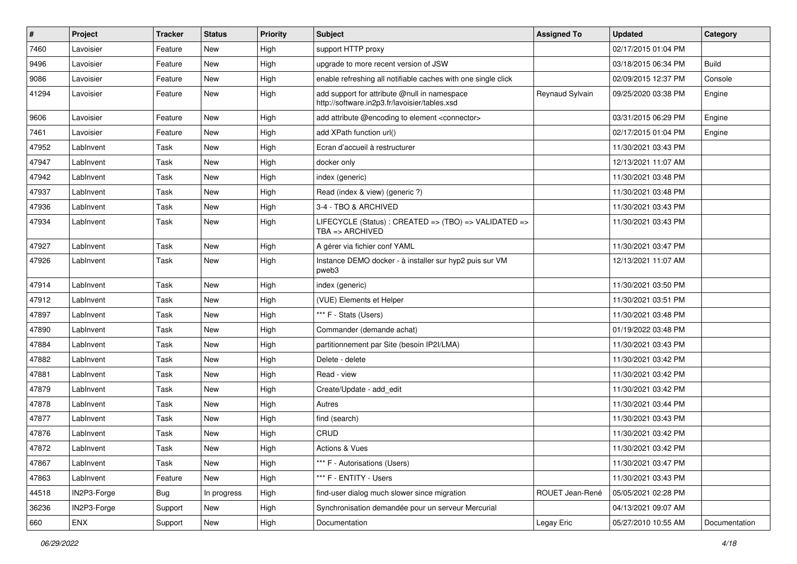| #     | Project     | Tracker    | <b>Status</b> | <b>Priority</b> | Subject                                                                                       | <b>Assigned To</b> | <b>Updated</b>      | Category      |
|-------|-------------|------------|---------------|-----------------|-----------------------------------------------------------------------------------------------|--------------------|---------------------|---------------|
| 7460  | Lavoisier   | Feature    | New           | High            | support HTTP proxy                                                                            |                    | 02/17/2015 01:04 PM |               |
| 9496  | Lavoisier   | Feature    | <b>New</b>    | High            | upgrade to more recent version of JSW                                                         |                    | 03/18/2015 06:34 PM | <b>Build</b>  |
| 9086  | Lavoisier   | Feature    | New           | High            | enable refreshing all notifiable caches with one single click                                 |                    | 02/09/2015 12:37 PM | Console       |
| 41294 | Lavoisier   | Feature    | New           | High            | add support for attribute @null in namespace<br>http://software.in2p3.fr/lavoisier/tables.xsd | Reynaud Sylvain    | 09/25/2020 03:38 PM | Engine        |
| 9606  | Lavoisier   | Feature    | <b>New</b>    | High            | add attribute @encoding to element <connector></connector>                                    |                    | 03/31/2015 06:29 PM | Engine        |
| 7461  | Lavoisier   | Feature    | <b>New</b>    | High            | add XPath function url()                                                                      |                    | 02/17/2015 01:04 PM | Engine        |
| 47952 | LabInvent   | Task       | New           | High            | Ecran d'accueil à restructurer                                                                |                    | 11/30/2021 03:43 PM |               |
| 47947 | LabInvent   | Task       | New           | High            | docker only                                                                                   |                    | 12/13/2021 11:07 AM |               |
| 47942 | LabInvent   | Task       | <b>New</b>    | High            | index (generic)                                                                               |                    | 11/30/2021 03:48 PM |               |
| 47937 | LabInvent   | Task       | New           | High            | Read (index & view) (generic ?)                                                               |                    | 11/30/2021 03:48 PM |               |
| 47936 | LabInvent   | Task       | <b>New</b>    | High            | 3-4 - TBO & ARCHIVED                                                                          |                    | 11/30/2021 03:43 PM |               |
| 47934 | LabInvent   | Task       | New           | High            | LIFECYCLE (Status) : CREATED => (TBO) => VALIDATED =><br>TBA => ARCHIVED                      |                    | 11/30/2021 03:43 PM |               |
| 47927 | LabInvent   | Task       | <b>New</b>    | High            | A gérer via fichier conf YAML                                                                 |                    | 11/30/2021 03:47 PM |               |
| 47926 | LabInvent   | Task       | <b>New</b>    | High            | Instance DEMO docker - à installer sur hyp2 puis sur VM<br>pweb3                              |                    | 12/13/2021 11:07 AM |               |
| 47914 | LabInvent   | Task       | <b>New</b>    | High            | index (generic)                                                                               |                    | 11/30/2021 03:50 PM |               |
| 47912 | LabInvent   | Task       | New           | High            | (VUE) Elements et Helper                                                                      |                    | 11/30/2021 03:51 PM |               |
| 47897 | LabInvent   | Task       | <b>New</b>    | High            | *** F - Stats (Users)                                                                         |                    | 11/30/2021 03:48 PM |               |
| 47890 | LabInvent   | Task       | New           | High            | Commander (demande achat)                                                                     |                    | 01/19/2022 03:48 PM |               |
| 47884 | LabInvent   | Task       | <b>New</b>    | High            | partitionnement par Site (besoin IP2I/LMA)                                                    |                    | 11/30/2021 03:43 PM |               |
| 47882 | LabInvent   | Task       | <b>New</b>    | High            | Delete - delete                                                                               |                    | 11/30/2021 03:42 PM |               |
| 47881 | LabInvent   | Task       | New           | High            | Read - view                                                                                   |                    | 11/30/2021 03:42 PM |               |
| 47879 | LabInvent   | Task       | New           | High            | Create/Update - add_edit                                                                      |                    | 11/30/2021 03:42 PM |               |
| 47878 | LabInvent   | Task       | New           | High            | Autres                                                                                        |                    | 11/30/2021 03:44 PM |               |
| 47877 | LabInvent   | Task       | <b>New</b>    | High            | find (search)                                                                                 |                    | 11/30/2021 03:43 PM |               |
| 47876 | LabInvent   | Task       | New           | High            | CRUD                                                                                          |                    | 11/30/2021 03:42 PM |               |
| 47872 | LabInvent   | Task       | New           | High            | Actions & Vues                                                                                |                    | 11/30/2021 03:42 PM |               |
| 47867 | LabInvent   | Task       | New           | High            | *** F - Autorisations (Users)                                                                 |                    | 11/30/2021 03:47 PM |               |
| 47863 | LabInvent   | Feature    | New           | High            | *** F - ENTITY - Users                                                                        |                    | 11/30/2021 03:43 PM |               |
| 44518 | IN2P3-Forge | <b>Bug</b> | In progress   | High            | find-user dialog much slower since migration                                                  | ROUET Jean-René    | 05/05/2021 02:28 PM |               |
| 36236 | IN2P3-Forge | Support    | New           | High            | Synchronisation demandée pour un serveur Mercurial                                            |                    | 04/13/2021 09:07 AM |               |
| 660   | ENX         | Support    | New           | High            | Documentation                                                                                 | Legay Eric         | 05/27/2010 10:55 AM | Documentation |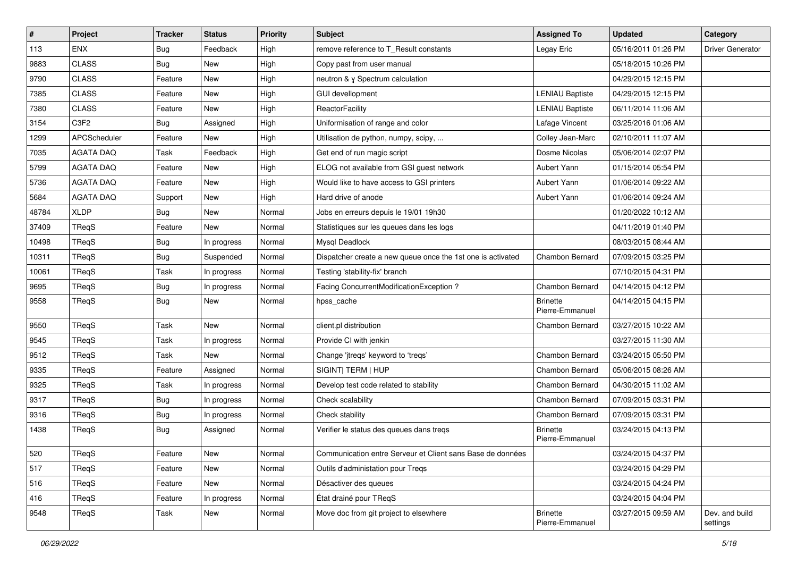| #     | Project          | <b>Tracker</b> | <b>Status</b> | <b>Priority</b> | <b>Subject</b>                                              | <b>Assigned To</b>                 | <b>Updated</b>      | Category                   |
|-------|------------------|----------------|---------------|-----------------|-------------------------------------------------------------|------------------------------------|---------------------|----------------------------|
| 113   | <b>ENX</b>       | Bug            | Feedback      | High            | remove reference to T_Result constants                      | Legay Eric                         | 05/16/2011 01:26 PM | <b>Driver Generator</b>    |
| 9883  | <b>CLASS</b>     | <b>Bug</b>     | <b>New</b>    | High            | Copy past from user manual                                  |                                    | 05/18/2015 10:26 PM |                            |
| 9790  | <b>CLASS</b>     | Feature        | New           | High            | neutron & y Spectrum calculation                            |                                    | 04/29/2015 12:15 PM |                            |
| 7385  | <b>CLASS</b>     | Feature        | New           | High            | GUI devellopment                                            | <b>LENIAU Baptiste</b>             | 04/29/2015 12:15 PM |                            |
| 7380  | <b>CLASS</b>     | Feature        | <b>New</b>    | High            | ReactorFacility                                             | <b>LENIAU Baptiste</b>             | 06/11/2014 11:06 AM |                            |
| 3154  | C3F2             | <b>Bug</b>     | Assigned      | High            | Uniformisation of range and color                           | Lafage Vincent                     | 03/25/2016 01:06 AM |                            |
| 1299  | APCScheduler     | Feature        | New           | High            | Utilisation de python, numpy, scipy,                        | Colley Jean-Marc                   | 02/10/2011 11:07 AM |                            |
| 7035  | <b>AGATA DAQ</b> | Task           | Feedback      | High            | Get end of run magic script                                 | Dosme Nicolas                      | 05/06/2014 02:07 PM |                            |
| 5799  | <b>AGATA DAQ</b> | Feature        | <b>New</b>    | High            | ELOG not available from GSI guest network                   | Aubert Yann                        | 01/15/2014 05:54 PM |                            |
| 5736  | <b>AGATA DAQ</b> | Feature        | New           | High            | Would like to have access to GSI printers                   | Aubert Yann                        | 01/06/2014 09:22 AM |                            |
| 5684  | <b>AGATA DAQ</b> | Support        | New           | High            | Hard drive of anode                                         | Aubert Yann                        | 01/06/2014 09:24 AM |                            |
| 48784 | <b>XLDP</b>      | <b>Bug</b>     | New           | Normal          | Jobs en erreurs depuis le 19/01 19h30                       |                                    | 01/20/2022 10:12 AM |                            |
| 37409 | TReqS            | Feature        | New           | Normal          | Statistiques sur les queues dans les logs                   |                                    | 04/11/2019 01:40 PM |                            |
| 10498 | TReqS            | <b>Bug</b>     | In progress   | Normal          | Mysql Deadlock                                              |                                    | 08/03/2015 08:44 AM |                            |
| 10311 | TReqS            | <b>Bug</b>     | Suspended     | Normal          | Dispatcher create a new queue once the 1st one is activated | Chambon Bernard                    | 07/09/2015 03:25 PM |                            |
| 10061 | TReqS            | Task           | In progress   | Normal          | Testing 'stability-fix' branch                              |                                    | 07/10/2015 04:31 PM |                            |
| 9695  | TReqS            | <b>Bug</b>     | In progress   | Normal          | Facing ConcurrentModificationException ?                    | Chambon Bernard                    | 04/14/2015 04:12 PM |                            |
| 9558  | TReqS            | <b>Bug</b>     | New           | Normal          | hpss_cache                                                  | <b>Brinette</b><br>Pierre-Emmanuel | 04/14/2015 04:15 PM |                            |
| 9550  | TReqS            | Task           | <b>New</b>    | Normal          | client.pl distribution                                      | Chambon Bernard                    | 03/27/2015 10:22 AM |                            |
| 9545  | TReqS            | Task           | In progress   | Normal          | Provide CI with jenkin                                      |                                    | 03/27/2015 11:30 AM |                            |
| 9512  | TReqS            | Task           | <b>New</b>    | Normal          | Change 'jtreqs' keyword to 'treqs'                          | Chambon Bernard                    | 03/24/2015 05:50 PM |                            |
| 9335  | TReqS            | Feature        | Assigned      | Normal          | SIGINT  TERM   HUP                                          | Chambon Bernard                    | 05/06/2015 08:26 AM |                            |
| 9325  | TReqS            | Task           | In progress   | Normal          | Develop test code related to stability                      | Chambon Bernard                    | 04/30/2015 11:02 AM |                            |
| 9317  | TReqS            | <b>Bug</b>     | In progress   | Normal          | Check scalability                                           | Chambon Bernard                    | 07/09/2015 03:31 PM |                            |
| 9316  | TReqS            | <b>Bug</b>     | In progress   | Normal          | Check stability                                             | Chambon Bernard                    | 07/09/2015 03:31 PM |                            |
| 1438  | TReqS            | <b>Bug</b>     | Assigned      | Normal          | Verifier le status des queues dans tregs                    | Brinette<br>Pierre-Emmanuel        | 03/24/2015 04:13 PM |                            |
| 520   | TReqS            | Feature        | New           | Normal          | Communication entre Serveur et Client sans Base de données  |                                    | 03/24/2015 04:37 PM |                            |
| 517   | TReqS            | Feature        | New           | Normal          | Outils d'administation pour Treqs                           |                                    | 03/24/2015 04:29 PM |                            |
| 516   | TReqS            | Feature        | <b>New</b>    | Normal          | Désactiver des queues                                       |                                    | 03/24/2015 04:24 PM |                            |
| 416   | TReqS            | Feature        | In progress   | Normal          | État drainé pour TRegS                                      |                                    | 03/24/2015 04:04 PM |                            |
| 9548  | TReqS            | Task           | New           | Normal          | Move doc from git project to elsewhere                      | <b>Brinette</b><br>Pierre-Emmanuel | 03/27/2015 09:59 AM | Dev. and build<br>settings |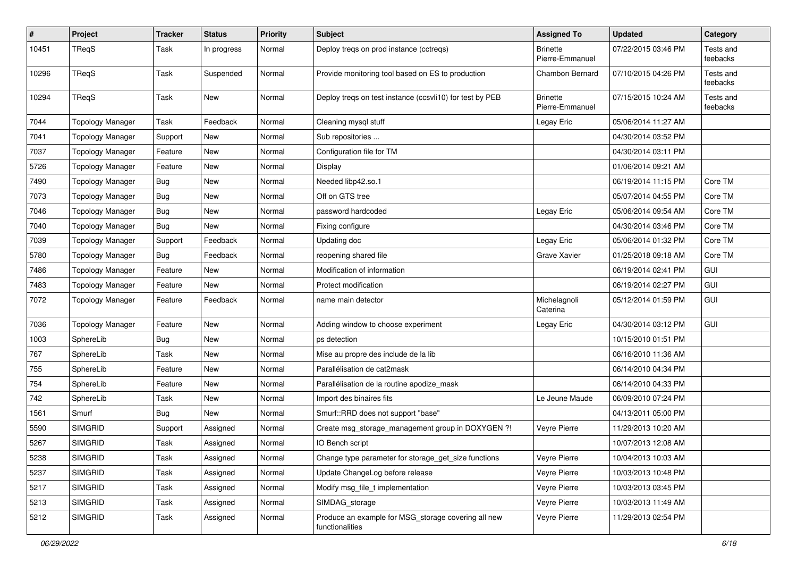| $\pmb{\#}$ | Project                 | <b>Tracker</b> | <b>Status</b> | <b>Priority</b> | Subject                                                                | <b>Assigned To</b>                 | <b>Updated</b>      | Category              |
|------------|-------------------------|----------------|---------------|-----------------|------------------------------------------------------------------------|------------------------------------|---------------------|-----------------------|
| 10451      | TReqS                   | Task           | In progress   | Normal          | Deploy treqs on prod instance (cctreqs)                                | <b>Brinette</b><br>Pierre-Emmanuel | 07/22/2015 03:46 PM | Tests and<br>feebacks |
| 10296      | TReqS                   | Task           | Suspended     | Normal          | Provide monitoring tool based on ES to production                      | Chambon Bernard                    | 07/10/2015 04:26 PM | Tests and<br>feebacks |
| 10294      | TReqS                   | Task           | New           | Normal          | Deploy treqs on test instance (ccsvli10) for test by PEB               | <b>Brinette</b><br>Pierre-Emmanuel | 07/15/2015 10:24 AM | Tests and<br>feebacks |
| 7044       | <b>Topology Manager</b> | Task           | Feedback      | Normal          | Cleaning mysql stuff                                                   | Legay Eric                         | 05/06/2014 11:27 AM |                       |
| 7041       | <b>Topology Manager</b> | Support        | New           | Normal          | Sub repositories                                                       |                                    | 04/30/2014 03:52 PM |                       |
| 7037       | <b>Topology Manager</b> | Feature        | New           | Normal          | Configuration file for TM                                              |                                    | 04/30/2014 03:11 PM |                       |
| 5726       | <b>Topology Manager</b> | Feature        | <b>New</b>    | Normal          | Display                                                                |                                    | 01/06/2014 09:21 AM |                       |
| 7490       | <b>Topology Manager</b> | <b>Bug</b>     | New           | Normal          | Needed libp42.so.1                                                     |                                    | 06/19/2014 11:15 PM | Core TM               |
| 7073       | <b>Topology Manager</b> | <b>Bug</b>     | New           | Normal          | Off on GTS tree                                                        |                                    | 05/07/2014 04:55 PM | Core TM               |
| 7046       | <b>Topology Manager</b> | Bug            | New           | Normal          | password hardcoded                                                     | Legay Eric                         | 05/06/2014 09:54 AM | Core TM               |
| 7040       | <b>Topology Manager</b> | <b>Bug</b>     | New           | Normal          | Fixing configure                                                       |                                    | 04/30/2014 03:46 PM | Core TM               |
| 7039       | <b>Topology Manager</b> | Support        | Feedback      | Normal          | Updating doc                                                           | Legay Eric                         | 05/06/2014 01:32 PM | Core TM               |
| 5780       | <b>Topology Manager</b> | <b>Bug</b>     | Feedback      | Normal          | reopening shared file                                                  | Grave Xavier                       | 01/25/2018 09:18 AM | Core TM               |
| 7486       | <b>Topology Manager</b> | Feature        | New           | Normal          | Modification of information                                            |                                    | 06/19/2014 02:41 PM | GUI                   |
| 7483       | <b>Topology Manager</b> | Feature        | New           | Normal          | Protect modification                                                   |                                    | 06/19/2014 02:27 PM | GUI                   |
| 7072       | <b>Topology Manager</b> | Feature        | Feedback      | Normal          | name main detector                                                     | Michelagnoli<br>Caterina           | 05/12/2014 01:59 PM | GUI                   |
| 7036       | <b>Topology Manager</b> | Feature        | New           | Normal          | Adding window to choose experiment                                     | Legay Eric                         | 04/30/2014 03:12 PM | GUI                   |
| 1003       | SphereLib               | <b>Bug</b>     | New           | Normal          | ps detection                                                           |                                    | 10/15/2010 01:51 PM |                       |
| 767        | SphereLib               | Task           | New           | Normal          | Mise au propre des include de la lib                                   |                                    | 06/16/2010 11:36 AM |                       |
| 755        | SphereLib               | Feature        | New           | Normal          | Parallélisation de cat2mask                                            |                                    | 06/14/2010 04:34 PM |                       |
| 754        | SphereLib               | Feature        | New           | Normal          | Parallélisation de la routine apodize mask                             |                                    | 06/14/2010 04:33 PM |                       |
| 742        | SphereLib               | Task           | New           | Normal          | Import des binaires fits                                               | Le Jeune Maude                     | 06/09/2010 07:24 PM |                       |
| 1561       | Smurf                   | <b>Bug</b>     | New           | Normal          | Smurf::RRD does not support "base"                                     |                                    | 04/13/2011 05:00 PM |                       |
| 5590       | <b>SIMGRID</b>          | Support        | Assigned      | Normal          | Create msg_storage_management group in DOXYGEN ?!                      | Veyre Pierre                       | 11/29/2013 10:20 AM |                       |
| 5267       | <b>SIMGRID</b>          | Task           | Assigned      | Normal          | IO Bench script                                                        |                                    | 10/07/2013 12:08 AM |                       |
| 5238       | <b>SIMGRID</b>          | Task           | Assigned      | Normal          | Change type parameter for storage_get_size functions                   | Veyre Pierre                       | 10/04/2013 10:03 AM |                       |
| 5237       | <b>SIMGRID</b>          | Task           | Assigned      | Normal          | Update ChangeLog before release                                        | Veyre Pierre                       | 10/03/2013 10:48 PM |                       |
| 5217       | <b>SIMGRID</b>          | Task           | Assigned      | Normal          | Modify msg_file_t implementation                                       | Veyre Pierre                       | 10/03/2013 03:45 PM |                       |
| 5213       | <b>SIMGRID</b>          | Task           | Assigned      | Normal          | SIMDAG_storage                                                         | Veyre Pierre                       | 10/03/2013 11:49 AM |                       |
| 5212       | <b>SIMGRID</b>          | Task           | Assigned      | Normal          | Produce an example for MSG_storage covering all new<br>functionalities | Veyre Pierre                       | 11/29/2013 02:54 PM |                       |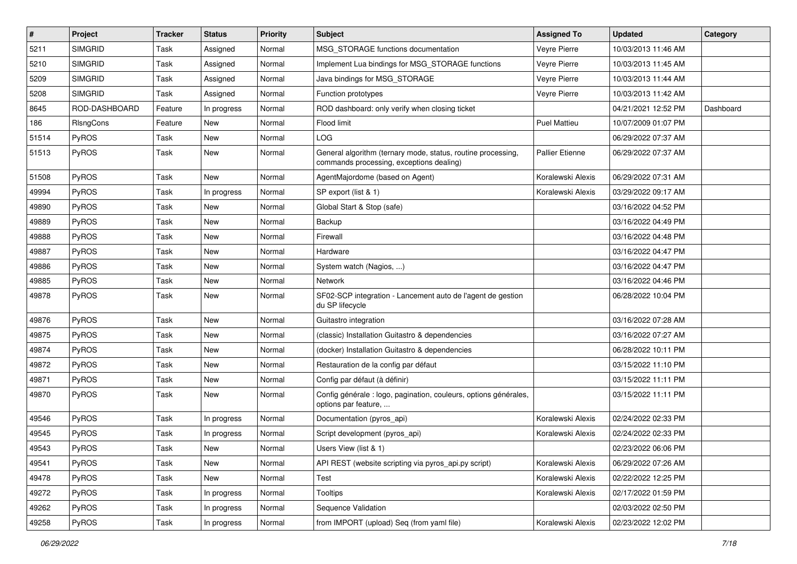| $\sharp$ | Project        | <b>Tracker</b> | <b>Status</b> | <b>Priority</b> | <b>Subject</b>                                                                                           | <b>Assigned To</b>     | <b>Updated</b>      | Category  |
|----------|----------------|----------------|---------------|-----------------|----------------------------------------------------------------------------------------------------------|------------------------|---------------------|-----------|
| 5211     | <b>SIMGRID</b> | Task           | Assigned      | Normal          | MSG_STORAGE functions documentation                                                                      | Veyre Pierre           | 10/03/2013 11:46 AM |           |
| 5210     | <b>SIMGRID</b> | Task           | Assigned      | Normal          | Implement Lua bindings for MSG_STORAGE functions                                                         | Veyre Pierre           | 10/03/2013 11:45 AM |           |
| 5209     | <b>SIMGRID</b> | Task           | Assigned      | Normal          | Java bindings for MSG_STORAGE                                                                            | Veyre Pierre           | 10/03/2013 11:44 AM |           |
| 5208     | <b>SIMGRID</b> | Task           | Assigned      | Normal          | Function prototypes                                                                                      | Veyre Pierre           | 10/03/2013 11:42 AM |           |
| 8645     | ROD-DASHBOARD  | Feature        | In progress   | Normal          | ROD dashboard: only verify when closing ticket                                                           |                        | 04/21/2021 12:52 PM | Dashboard |
| 186      | RIsngCons      | Feature        | New           | Normal          | Flood limit                                                                                              | Puel Mattieu           | 10/07/2009 01:07 PM |           |
| 51514    | PyROS          | Task           | New           | Normal          | <b>LOG</b>                                                                                               |                        | 06/29/2022 07:37 AM |           |
| 51513    | <b>PyROS</b>   | Task           | New           | Normal          | General algorithm (ternary mode, status, routine processing,<br>commands processing, exceptions dealing) | <b>Pallier Etienne</b> | 06/29/2022 07:37 AM |           |
| 51508    | PyROS          | Task           | <b>New</b>    | Normal          | AgentMajordome (based on Agent)                                                                          | Koralewski Alexis      | 06/29/2022 07:31 AM |           |
| 49994    | PyROS          | Task           | In progress   | Normal          | SP export (list & 1)                                                                                     | Koralewski Alexis      | 03/29/2022 09:17 AM |           |
| 49890    | PyROS          | Task           | New           | Normal          | Global Start & Stop (safe)                                                                               |                        | 03/16/2022 04:52 PM |           |
| 49889    | PyROS          | Task           | New           | Normal          | Backup                                                                                                   |                        | 03/16/2022 04:49 PM |           |
| 49888    | PyROS          | Task           | New           | Normal          | Firewall                                                                                                 |                        | 03/16/2022 04:48 PM |           |
| 49887    | PyROS          | Task           | New           | Normal          | Hardware                                                                                                 |                        | 03/16/2022 04:47 PM |           |
| 49886    | PyROS          | Task           | New           | Normal          | System watch (Nagios, )                                                                                  |                        | 03/16/2022 04:47 PM |           |
| 49885    | PyROS          | Task           | New           | Normal          | Network                                                                                                  |                        | 03/16/2022 04:46 PM |           |
| 49878    | PyROS          | Task           | New           | Normal          | SF02-SCP integration - Lancement auto de l'agent de gestion<br>du SP lifecycle                           |                        | 06/28/2022 10:04 PM |           |
| 49876    | PyROS          | Task           | New           | Normal          | Guitastro integration                                                                                    |                        | 03/16/2022 07:28 AM |           |
| 49875    | PyROS          | Task           | New           | Normal          | (classic) Installation Guitastro & dependencies                                                          |                        | 03/16/2022 07:27 AM |           |
| 49874    | PyROS          | Task           | New           | Normal          | (docker) Installation Guitastro & dependencies                                                           |                        | 06/28/2022 10:11 PM |           |
| 49872    | PyROS          | Task           | New           | Normal          | Restauration de la config par défaut                                                                     |                        | 03/15/2022 11:10 PM |           |
| 49871    | PyROS          | Task           | New           | Normal          | Config par défaut (à définir)                                                                            |                        | 03/15/2022 11:11 PM |           |
| 49870    | PyROS          | Task           | New           | Normal          | Config générale : logo, pagination, couleurs, options générales,<br>options par feature,                 |                        | 03/15/2022 11:11 PM |           |
| 49546    | PyROS          | Task           | In progress   | Normal          | Documentation (pyros_api)                                                                                | Koralewski Alexis      | 02/24/2022 02:33 PM |           |
| 49545    | PyROS          | Task           | In progress   | Normal          | Script development (pyros_api)                                                                           | Koralewski Alexis      | 02/24/2022 02:33 PM |           |
| 49543    | PyROS          | Task           | New           | Normal          | Users View (list & 1)                                                                                    |                        | 02/23/2022 06:06 PM |           |
| 49541    | PyROS          | Task           | New           | Normal          | API REST (website scripting via pyros_api.py script)                                                     | Koralewski Alexis      | 06/29/2022 07:26 AM |           |
| 49478    | PyROS          | Task           | New           | Normal          | Test                                                                                                     | Koralewski Alexis      | 02/22/2022 12:25 PM |           |
| 49272    | PyROS          | Task           | In progress   | Normal          | <b>Tooltips</b>                                                                                          | Koralewski Alexis      | 02/17/2022 01:59 PM |           |
| 49262    | PyROS          | Task           | In progress   | Normal          | Sequence Validation                                                                                      |                        | 02/03/2022 02:50 PM |           |
| 49258    | PyROS          | Task           | In progress   | Normal          | from IMPORT (upload) Seq (from yaml file)                                                                | Koralewski Alexis      | 02/23/2022 12:02 PM |           |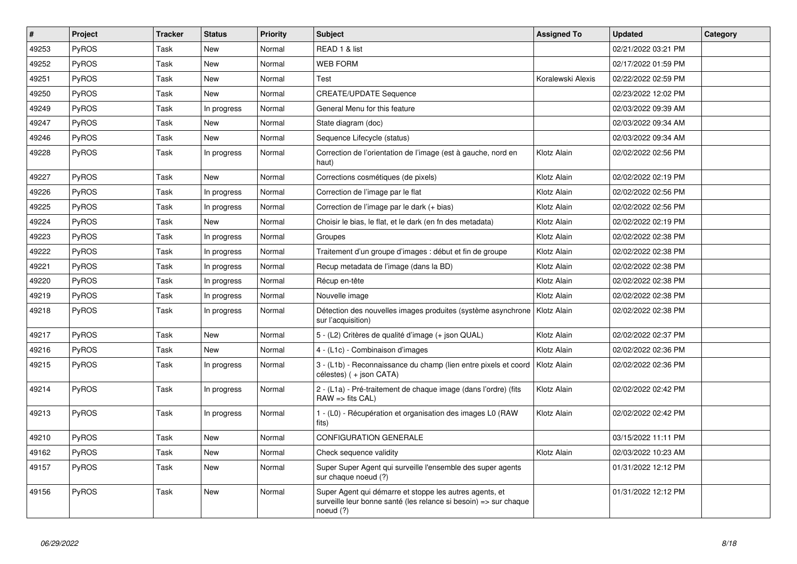| $\#$  | Project      | <b>Tracker</b> | <b>Status</b> | <b>Priority</b> | <b>Subject</b>                                                                                                                           | <b>Assigned To</b> | <b>Updated</b>      | Category |
|-------|--------------|----------------|---------------|-----------------|------------------------------------------------------------------------------------------------------------------------------------------|--------------------|---------------------|----------|
| 49253 | <b>PyROS</b> | Task           | <b>New</b>    | Normal          | READ 1 & list                                                                                                                            |                    | 02/21/2022 03:21 PM |          |
| 49252 | <b>PyROS</b> | <b>Task</b>    | <b>New</b>    | Normal          | <b>WEB FORM</b>                                                                                                                          |                    | 02/17/2022 01:59 PM |          |
| 49251 | PyROS        | Task           | <b>New</b>    | Normal          | Test                                                                                                                                     | Koralewski Alexis  | 02/22/2022 02:59 PM |          |
| 49250 | <b>PyROS</b> | Task           | New           | Normal          | <b>CREATE/UPDATE Sequence</b>                                                                                                            |                    | 02/23/2022 12:02 PM |          |
| 49249 | <b>PyROS</b> | Task           | In progress   | Normal          | General Menu for this feature                                                                                                            |                    | 02/03/2022 09:39 AM |          |
| 49247 | <b>PyROS</b> | Task           | <b>New</b>    | Normal          | State diagram (doc)                                                                                                                      |                    | 02/03/2022 09:34 AM |          |
| 49246 | <b>PyROS</b> | Task           | <b>New</b>    | Normal          | Sequence Lifecycle (status)                                                                                                              |                    | 02/03/2022 09:34 AM |          |
| 49228 | <b>PyROS</b> | Task           | In progress   | Normal          | Correction de l'orientation de l'image (est à gauche, nord en<br>haut)                                                                   | Klotz Alain        | 02/02/2022 02:56 PM |          |
| 49227 | <b>PyROS</b> | Task           | New           | Normal          | Corrections cosmétiques (de pixels)                                                                                                      | Klotz Alain        | 02/02/2022 02:19 PM |          |
| 49226 | <b>PyROS</b> | Task           | In progress   | Normal          | Correction de l'image par le flat                                                                                                        | Klotz Alain        | 02/02/2022 02:56 PM |          |
| 49225 | <b>PyROS</b> | Task           | In progress   | Normal          | Correction de l'image par le dark (+ bias)                                                                                               | Klotz Alain        | 02/02/2022 02:56 PM |          |
| 49224 | PyROS        | Task           | <b>New</b>    | Normal          | Choisir le bias, le flat, et le dark (en fn des metadata)                                                                                | Klotz Alain        | 02/02/2022 02:19 PM |          |
| 49223 | PyROS        | Task           | In progress   | Normal          | Groupes                                                                                                                                  | Klotz Alain        | 02/02/2022 02:38 PM |          |
| 49222 | PyROS        | Task           | In progress   | Normal          | Traitement d'un groupe d'images : début et fin de groupe                                                                                 | Klotz Alain        | 02/02/2022 02:38 PM |          |
| 49221 | PyROS        | Task           | In progress   | Normal          | Recup metadata de l'image (dans la BD)                                                                                                   | Klotz Alain        | 02/02/2022 02:38 PM |          |
| 49220 | PyROS        | Task           | In progress   | Normal          | Récup en-tête                                                                                                                            | Klotz Alain        | 02/02/2022 02:38 PM |          |
| 49219 | PyROS        | Task           | In progress   | Normal          | Nouvelle image                                                                                                                           | Klotz Alain        | 02/02/2022 02:38 PM |          |
| 49218 | PyROS        | Task           | In progress   | Normal          | Détection des nouvelles images produites (système asynchrone<br>sur l'acquisition)                                                       | Klotz Alain        | 02/02/2022 02:38 PM |          |
| 49217 | PyROS        | Task           | <b>New</b>    | Normal          | 5 - (L2) Critères de qualité d'image (+ json QUAL)                                                                                       | Klotz Alain        | 02/02/2022 02:37 PM |          |
| 49216 | <b>PyROS</b> | Task           | <b>New</b>    | Normal          | 4 - (L1c) - Combinaison d'images                                                                                                         | Klotz Alain        | 02/02/2022 02:36 PM |          |
| 49215 | PyROS        | Task           | In progress   | Normal          | 3 - (L1b) - Reconnaissance du champ (lien entre pixels et coord<br>célestes) (+ json CATA)                                               | Klotz Alain        | 02/02/2022 02:36 PM |          |
| 49214 | PyROS        | Task           | In progress   | Normal          | 2 - (L1a) - Pré-traitement de chaque image (dans l'ordre) (fits<br>$RAW \Rightarrow fits CAL$                                            | Klotz Alain        | 02/02/2022 02:42 PM |          |
| 49213 | PyROS        | Task           | In progress   | Normal          | 1 - (L0) - Récupération et organisation des images L0 (RAW<br>fits)                                                                      | Klotz Alain        | 02/02/2022 02:42 PM |          |
| 49210 | PyROS        | Task           | <b>New</b>    | Normal          | <b>CONFIGURATION GENERALE</b>                                                                                                            |                    | 03/15/2022 11:11 PM |          |
| 49162 | <b>PyROS</b> | Task           | New           | Normal          | Check sequence validity                                                                                                                  | Klotz Alain        | 02/03/2022 10:23 AM |          |
| 49157 | <b>PyROS</b> | Task           | <b>New</b>    | Normal          | Super Super Agent qui surveille l'ensemble des super agents<br>sur chaque noeud (?)                                                      |                    | 01/31/2022 12:12 PM |          |
| 49156 | PyROS        | <b>Task</b>    | New           | Normal          | Super Agent qui démarre et stoppe les autres agents, et<br>surveille leur bonne santé (les relance si besoin) => sur chaque<br>noeud (?) |                    | 01/31/2022 12:12 PM |          |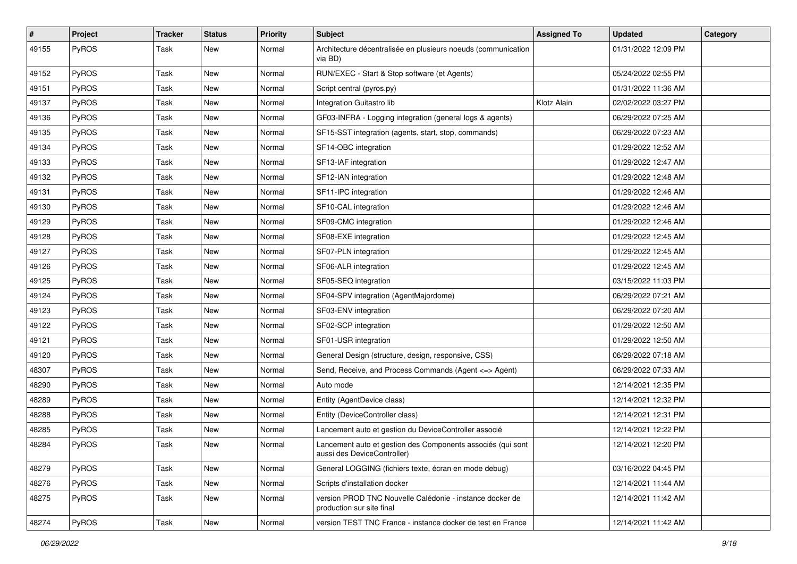| #     | Project | <b>Tracker</b> | <b>Status</b> | <b>Priority</b> | <b>Subject</b>                                                                             | <b>Assigned To</b> | <b>Updated</b>      | Category |
|-------|---------|----------------|---------------|-----------------|--------------------------------------------------------------------------------------------|--------------------|---------------------|----------|
| 49155 | PyROS   | Task           | New           | Normal          | Architecture décentralisée en plusieurs noeuds (communication<br>via BD)                   |                    | 01/31/2022 12:09 PM |          |
| 49152 | PyROS   | Task           | New           | Normal          | RUN/EXEC - Start & Stop software (et Agents)                                               |                    | 05/24/2022 02:55 PM |          |
| 49151 | PyROS   | Task           | New           | Normal          | Script central (pyros.py)                                                                  |                    | 01/31/2022 11:36 AM |          |
| 49137 | PyROS   | Task           | <b>New</b>    | Normal          | Integration Guitastro lib                                                                  | Klotz Alain        | 02/02/2022 03:27 PM |          |
| 49136 | PyROS   | Task           | New           | Normal          | GF03-INFRA - Logging integration (general logs & agents)                                   |                    | 06/29/2022 07:25 AM |          |
| 49135 | PyROS   | Task           | New           | Normal          | SF15-SST integration (agents, start, stop, commands)                                       |                    | 06/29/2022 07:23 AM |          |
| 49134 | PyROS   | Task           | New           | Normal          | SF14-OBC integration                                                                       |                    | 01/29/2022 12:52 AM |          |
| 49133 | PyROS   | Task           | New           | Normal          | SF13-IAF integration                                                                       |                    | 01/29/2022 12:47 AM |          |
| 49132 | PyROS   | Task           | <b>New</b>    | Normal          | SF12-IAN integration                                                                       |                    | 01/29/2022 12:48 AM |          |
| 49131 | PyROS   | Task           | New           | Normal          | SF11-IPC integration                                                                       |                    | 01/29/2022 12:46 AM |          |
| 49130 | PyROS   | Task           | New           | Normal          | SF10-CAL integration                                                                       |                    | 01/29/2022 12:46 AM |          |
| 49129 | PyROS   | Task           | New           | Normal          | SF09-CMC integration                                                                       |                    | 01/29/2022 12:46 AM |          |
| 49128 | PyROS   | Task           | <b>New</b>    | Normal          | SF08-EXE integration                                                                       |                    | 01/29/2022 12:45 AM |          |
| 49127 | PyROS   | Task           | New           | Normal          | SF07-PLN integration                                                                       |                    | 01/29/2022 12:45 AM |          |
| 49126 | PyROS   | Task           | New           | Normal          | SF06-ALR integration                                                                       |                    | 01/29/2022 12:45 AM |          |
| 49125 | PyROS   | Task           | New           | Normal          | SF05-SEQ integration                                                                       |                    | 03/15/2022 11:03 PM |          |
| 49124 | PyROS   | Task           | New           | Normal          | SF04-SPV integration (AgentMajordome)                                                      |                    | 06/29/2022 07:21 AM |          |
| 49123 | PyROS   | Task           | New           | Normal          | SF03-ENV integration                                                                       |                    | 06/29/2022 07:20 AM |          |
| 49122 | PyROS   | Task           | New           | Normal          | SF02-SCP integration                                                                       |                    | 01/29/2022 12:50 AM |          |
| 49121 | PyROS   | Task           | New           | Normal          | SF01-USR integration                                                                       |                    | 01/29/2022 12:50 AM |          |
| 49120 | PyROS   | Task           | New           | Normal          | General Design (structure, design, responsive, CSS)                                        |                    | 06/29/2022 07:18 AM |          |
| 48307 | PyROS   | Task           | <b>New</b>    | Normal          | Send, Receive, and Process Commands (Agent <= > Agent)                                     |                    | 06/29/2022 07:33 AM |          |
| 48290 | PyROS   | Task           | New           | Normal          | Auto mode                                                                                  |                    | 12/14/2021 12:35 PM |          |
| 48289 | PyROS   | Task           | New           | Normal          | Entity (AgentDevice class)                                                                 |                    | 12/14/2021 12:32 PM |          |
| 48288 | PyROS   | Task           | New           | Normal          | Entity (DeviceController class)                                                            |                    | 12/14/2021 12:31 PM |          |
| 48285 | PyROS   | Task           | New           | Normal          | Lancement auto et gestion du DeviceController associé                                      |                    | 12/14/2021 12:22 PM |          |
| 48284 | PyROS   | Task           | New           | Normal          | Lancement auto et gestion des Components associés (qui sont<br>aussi des DeviceController) |                    | 12/14/2021 12:20 PM |          |
| 48279 | PyROS   | Task           | New           | Normal          | General LOGGING (fichiers texte, écran en mode debug)                                      |                    | 03/16/2022 04:45 PM |          |
| 48276 | PyROS   | Task           | New           | Normal          | Scripts d'installation docker                                                              |                    | 12/14/2021 11:44 AM |          |
| 48275 | PyROS   | Task           | New           | Normal          | version PROD TNC Nouvelle Calédonie - instance docker de<br>production sur site final      |                    | 12/14/2021 11:42 AM |          |
| 48274 | PyROS   | Task           | New           | Normal          | version TEST TNC France - instance docker de test en France                                |                    | 12/14/2021 11:42 AM |          |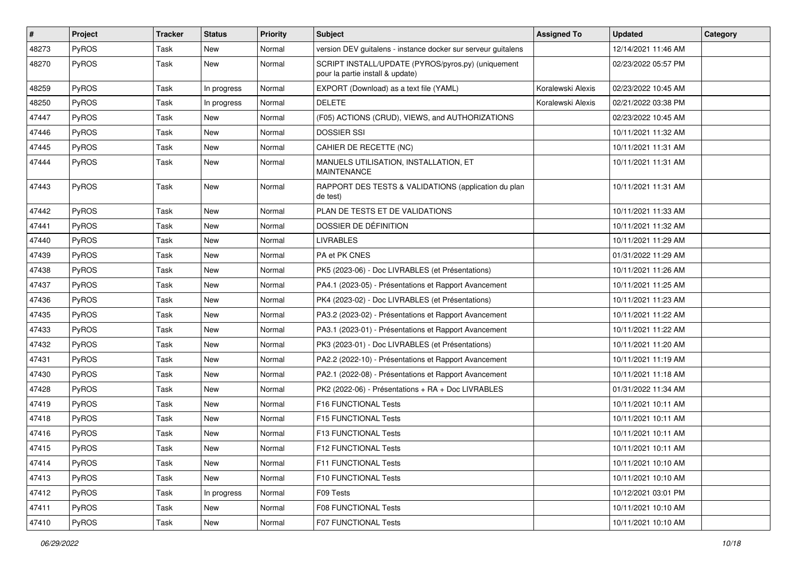| #     | Project      | <b>Tracker</b> | <b>Status</b> | <b>Priority</b> | <b>Subject</b>                                                                         | <b>Assigned To</b> | <b>Updated</b>      | Category |
|-------|--------------|----------------|---------------|-----------------|----------------------------------------------------------------------------------------|--------------------|---------------------|----------|
| 48273 | PyROS        | Task           | New           | Normal          | version DEV guitalens - instance docker sur serveur guitalens                          |                    | 12/14/2021 11:46 AM |          |
| 48270 | PyROS        | Task           | New           | Normal          | SCRIPT INSTALL/UPDATE (PYROS/pyros.py) (uniquement<br>pour la partie install & update) |                    | 02/23/2022 05:57 PM |          |
| 48259 | PyROS        | Task           | In progress   | Normal          | EXPORT (Download) as a text file (YAML)                                                | Koralewski Alexis  | 02/23/2022 10:45 AM |          |
| 48250 | PyROS        | Task           | In progress   | Normal          | <b>DELETE</b>                                                                          | Koralewski Alexis  | 02/21/2022 03:38 PM |          |
| 47447 | PyROS        | Task           | New           | Normal          | (F05) ACTIONS (CRUD), VIEWS, and AUTHORIZATIONS                                        |                    | 02/23/2022 10:45 AM |          |
| 47446 | PyROS        | Task           | New           | Normal          | <b>DOSSIER SSI</b>                                                                     |                    | 10/11/2021 11:32 AM |          |
| 47445 | PyROS        | Task           | New           | Normal          | CAHIER DE RECETTE (NC)                                                                 |                    | 10/11/2021 11:31 AM |          |
| 47444 | PyROS        | Task           | New           | Normal          | MANUELS UTILISATION, INSTALLATION, ET<br><b>MAINTENANCE</b>                            |                    | 10/11/2021 11:31 AM |          |
| 47443 | PyROS        | Task           | <b>New</b>    | Normal          | RAPPORT DES TESTS & VALIDATIONS (application du plan<br>de test)                       |                    | 10/11/2021 11:31 AM |          |
| 47442 | PyROS        | Task           | <b>New</b>    | Normal          | PLAN DE TESTS ET DE VALIDATIONS                                                        |                    | 10/11/2021 11:33 AM |          |
| 47441 | PyROS        | Task           | New           | Normal          | DOSSIER DE DÉFINITION                                                                  |                    | 10/11/2021 11:32 AM |          |
| 47440 | PyROS        | Task           | New           | Normal          | <b>LIVRABLES</b>                                                                       |                    | 10/11/2021 11:29 AM |          |
| 47439 | PyROS        | Task           | New           | Normal          | PA et PK CNES                                                                          |                    | 01/31/2022 11:29 AM |          |
| 47438 | PyROS        | Task           | New           | Normal          | PK5 (2023-06) - Doc LIVRABLES (et Présentations)                                       |                    | 10/11/2021 11:26 AM |          |
| 47437 | PyROS        | Task           | <b>New</b>    | Normal          | PA4.1 (2023-05) - Présentations et Rapport Avancement                                  |                    | 10/11/2021 11:25 AM |          |
| 47436 | PyROS        | Task           | New           | Normal          | PK4 (2023-02) - Doc LIVRABLES (et Présentations)                                       |                    | 10/11/2021 11:23 AM |          |
| 47435 | PyROS        | Task           | New           | Normal          | PA3.2 (2023-02) - Présentations et Rapport Avancement                                  |                    | 10/11/2021 11:22 AM |          |
| 47433 | PyROS        | Task           | New           | Normal          | PA3.1 (2023-01) - Présentations et Rapport Avancement                                  |                    | 10/11/2021 11:22 AM |          |
| 47432 | PyROS        | Task           | New           | Normal          | PK3 (2023-01) - Doc LIVRABLES (et Présentations)                                       |                    | 10/11/2021 11:20 AM |          |
| 47431 | PyROS        | Task           | <b>New</b>    | Normal          | PA2.2 (2022-10) - Présentations et Rapport Avancement                                  |                    | 10/11/2021 11:19 AM |          |
| 47430 | PyROS        | Task           | New           | Normal          | PA2.1 (2022-08) - Présentations et Rapport Avancement                                  |                    | 10/11/2021 11:18 AM |          |
| 47428 | PyROS        | Task           | New           | Normal          | PK2 (2022-06) - Présentations + RA + Doc LIVRABLES                                     |                    | 01/31/2022 11:34 AM |          |
| 47419 | PyROS        | Task           | <b>New</b>    | Normal          | F16 FUNCTIONAL Tests                                                                   |                    | 10/11/2021 10:11 AM |          |
| 47418 | PyROS        | Task           | New           | Normal          | F15 FUNCTIONAL Tests                                                                   |                    | 10/11/2021 10:11 AM |          |
| 47416 | PyROS        | Task           | New           | Normal          | F13 FUNCTIONAL Tests                                                                   |                    | 10/11/2021 10:11 AM |          |
| 47415 | PyROS        | Task           | New           | Normal          | F12 FUNCTIONAL Tests                                                                   |                    | 10/11/2021 10:11 AM |          |
| 47414 | <b>PyROS</b> | Task           | New           | Normal          | F11 FUNCTIONAL Tests                                                                   |                    | 10/11/2021 10:10 AM |          |
| 47413 | PyROS        | Task           | New           | Normal          | <b>F10 FUNCTIONAL Tests</b>                                                            |                    | 10/11/2021 10:10 AM |          |
| 47412 | PyROS        | Task           | In progress   | Normal          | F09 Tests                                                                              |                    | 10/12/2021 03:01 PM |          |
| 47411 | PyROS        | Task           | New           | Normal          | F08 FUNCTIONAL Tests                                                                   |                    | 10/11/2021 10:10 AM |          |
| 47410 | PyROS        | Task           | New           | Normal          | <b>F07 FUNCTIONAL Tests</b>                                                            |                    | 10/11/2021 10:10 AM |          |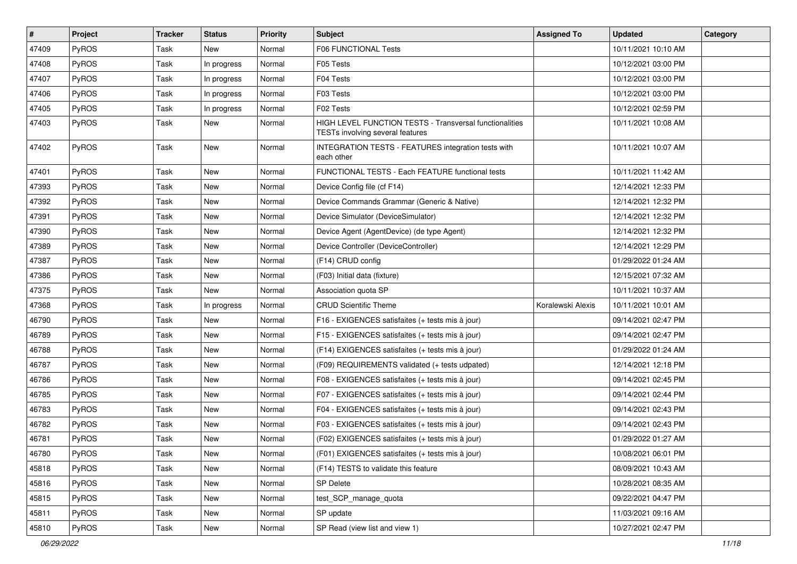| $\vert$ # | Project      | <b>Tracker</b> | <b>Status</b> | <b>Priority</b> | <b>Subject</b>                                                                              | <b>Assigned To</b> | <b>Updated</b>      | Category |
|-----------|--------------|----------------|---------------|-----------------|---------------------------------------------------------------------------------------------|--------------------|---------------------|----------|
| 47409     | PyROS        | Task           | <b>New</b>    | Normal          | <b>F06 FUNCTIONAL Tests</b>                                                                 |                    | 10/11/2021 10:10 AM |          |
| 47408     | PyROS        | Task           | In progress   | Normal          | F05 Tests                                                                                   |                    | 10/12/2021 03:00 PM |          |
| 47407     | PyROS        | Task           | In progress   | Normal          | F04 Tests                                                                                   |                    | 10/12/2021 03:00 PM |          |
| 47406     | PyROS        | Task           | In progress   | Normal          | F03 Tests                                                                                   |                    | 10/12/2021 03:00 PM |          |
| 47405     | PyROS        | Task           | In progress   | Normal          | F02 Tests                                                                                   |                    | 10/12/2021 02:59 PM |          |
| 47403     | PyROS        | Task           | New           | Normal          | HIGH LEVEL FUNCTION TESTS - Transversal functionalities<br>TESTs involving several features |                    | 10/11/2021 10:08 AM |          |
| 47402     | PyROS        | Task           | New           | Normal          | INTEGRATION TESTS - FEATURES integration tests with<br>each other                           |                    | 10/11/2021 10:07 AM |          |
| 47401     | PyROS        | Task           | New           | Normal          | FUNCTIONAL TESTS - Each FEATURE functional tests                                            |                    | 10/11/2021 11:42 AM |          |
| 47393     | PyROS        | Task           | New           | Normal          | Device Config file (cf F14)                                                                 |                    | 12/14/2021 12:33 PM |          |
| 47392     | PyROS        | Task           | New           | Normal          | Device Commands Grammar (Generic & Native)                                                  |                    | 12/14/2021 12:32 PM |          |
| 47391     | PyROS        | Task           | New           | Normal          | Device Simulator (DeviceSimulator)                                                          |                    | 12/14/2021 12:32 PM |          |
| 47390     | PyROS        | Task           | New           | Normal          | Device Agent (AgentDevice) (de type Agent)                                                  |                    | 12/14/2021 12:32 PM |          |
| 47389     | PyROS        | Task           | <b>New</b>    | Normal          | Device Controller (DeviceController)                                                        |                    | 12/14/2021 12:29 PM |          |
| 47387     | PyROS        | Task           | New           | Normal          | (F14) CRUD config                                                                           |                    | 01/29/2022 01:24 AM |          |
| 47386     | PyROS        | Task           | New           | Normal          | (F03) Initial data (fixture)                                                                |                    | 12/15/2021 07:32 AM |          |
| 47375     | PyROS        | Task           | <b>New</b>    | Normal          | Association quota SP                                                                        |                    | 10/11/2021 10:37 AM |          |
| 47368     | <b>PyROS</b> | Task           | In progress   | Normal          | <b>CRUD Scientific Theme</b>                                                                | Koralewski Alexis  | 10/11/2021 10:01 AM |          |
| 46790     | PyROS        | Task           | <b>New</b>    | Normal          | F16 - EXIGENCES satisfaites (+ tests mis à jour)                                            |                    | 09/14/2021 02:47 PM |          |
| 46789     | PyROS        | Task           | New           | Normal          | F15 - EXIGENCES satisfaites (+ tests mis à jour)                                            |                    | 09/14/2021 02:47 PM |          |
| 46788     | PyROS        | Task           | New           | Normal          | (F14) EXIGENCES satisfaites (+ tests mis à jour)                                            |                    | 01/29/2022 01:24 AM |          |
| 46787     | PyROS        | Task           | New           | Normal          | (F09) REQUIREMENTS validated (+ tests udpated)                                              |                    | 12/14/2021 12:18 PM |          |
| 46786     | <b>PyROS</b> | Task           | New           | Normal          | F08 - EXIGENCES satisfaites (+ tests mis à jour)                                            |                    | 09/14/2021 02:45 PM |          |
| 46785     | PyROS        | Task           | New           | Normal          | F07 - EXIGENCES satisfaites (+ tests mis à jour)                                            |                    | 09/14/2021 02:44 PM |          |
| 46783     | PyROS        | Task           | New           | Normal          | F04 - EXIGENCES satisfaites (+ tests mis à jour)                                            |                    | 09/14/2021 02:43 PM |          |
| 46782     | PyROS        | Task           | New           | Normal          | F03 - EXIGENCES satisfaites (+ tests mis à jour)                                            |                    | 09/14/2021 02:43 PM |          |
| 46781     | PyROS        | Task           | New           | Normal          | (F02) EXIGENCES satisfaites (+ tests mis à jour)                                            |                    | 01/29/2022 01:27 AM |          |
| 46780     | PyROS        | Task           | New           | Normal          | (F01) EXIGENCES satisfaites (+ tests mis à jour)                                            |                    | 10/08/2021 06:01 PM |          |
| 45818     | PyROS        | Task           | New           | Normal          | (F14) TESTS to validate this feature                                                        |                    | 08/09/2021 10:43 AM |          |
| 45816     | PyROS        | Task           | New           | Normal          | <b>SP Delete</b>                                                                            |                    | 10/28/2021 08:35 AM |          |
| 45815     | PyROS        | Task           | New           | Normal          | test_SCP_manage_quota                                                                       |                    | 09/22/2021 04:47 PM |          |
| 45811     | PyROS        | Task           | New           | Normal          | SP update                                                                                   |                    | 11/03/2021 09:16 AM |          |
| 45810     | PyROS        | Task           | New           | Normal          | SP Read (view list and view 1)                                                              |                    | 10/27/2021 02:47 PM |          |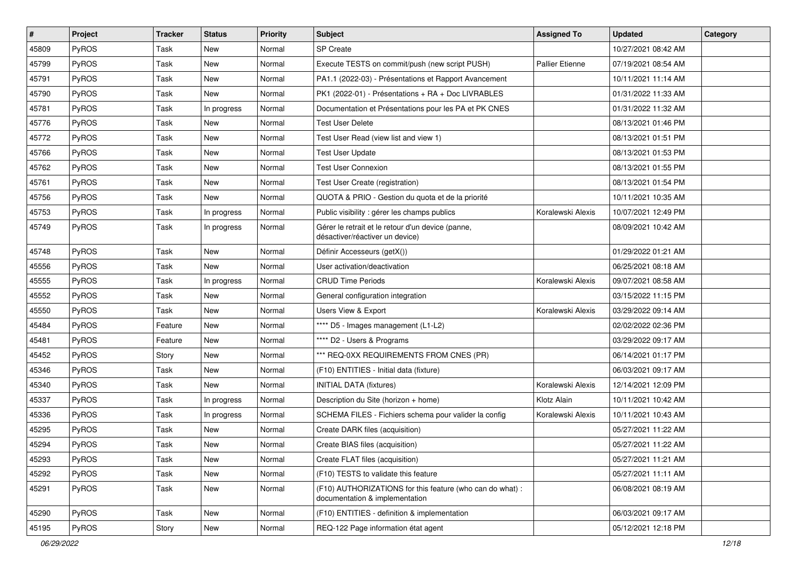| $\vert$ # | Project      | <b>Tracker</b> | <b>Status</b> | <b>Priority</b> | Subject                                                                                     | <b>Assigned To</b> | <b>Updated</b>      | Category |
|-----------|--------------|----------------|---------------|-----------------|---------------------------------------------------------------------------------------------|--------------------|---------------------|----------|
| 45809     | PyROS        | Task           | New           | Normal          | <b>SP Create</b>                                                                            |                    | 10/27/2021 08:42 AM |          |
| 45799     | PyROS        | Task           | New           | Normal          | Execute TESTS on commit/push (new script PUSH)                                              | Pallier Etienne    | 07/19/2021 08:54 AM |          |
| 45791     | PyROS        | Task           | New           | Normal          | PA1.1 (2022-03) - Présentations et Rapport Avancement                                       |                    | 10/11/2021 11:14 AM |          |
| 45790     | PyROS        | Task           | New           | Normal          | PK1 (2022-01) - Présentations + RA + Doc LIVRABLES                                          |                    | 01/31/2022 11:33 AM |          |
| 45781     | PyROS        | Task           | In progress   | Normal          | Documentation et Présentations pour les PA et PK CNES                                       |                    | 01/31/2022 11:32 AM |          |
| 45776     | PyROS        | Task           | New           | Normal          | <b>Test User Delete</b>                                                                     |                    | 08/13/2021 01:46 PM |          |
| 45772     | PyROS        | Task           | New           | Normal          | Test User Read (view list and view 1)                                                       |                    | 08/13/2021 01:51 PM |          |
| 45766     | PyROS        | Task           | New           | Normal          | <b>Test User Update</b>                                                                     |                    | 08/13/2021 01:53 PM |          |
| 45762     | PyROS        | Task           | New           | Normal          | <b>Test User Connexion</b>                                                                  |                    | 08/13/2021 01:55 PM |          |
| 45761     | PyROS        | Task           | New           | Normal          | Test User Create (registration)                                                             |                    | 08/13/2021 01:54 PM |          |
| 45756     | PyROS        | Task           | New           | Normal          | QUOTA & PRIO - Gestion du quota et de la priorité                                           |                    | 10/11/2021 10:35 AM |          |
| 45753     | PyROS        | Task           | In progress   | Normal          | Public visibility : gérer les champs publics                                                | Koralewski Alexis  | 10/07/2021 12:49 PM |          |
| 45749     | PyROS        | Task           | In progress   | Normal          | Gérer le retrait et le retour d'un device (panne,<br>désactiver/réactiver un device)        |                    | 08/09/2021 10:42 AM |          |
| 45748     | PyROS        | Task           | New           | Normal          | Définir Accesseurs (getX())                                                                 |                    | 01/29/2022 01:21 AM |          |
| 45556     | PyROS        | Task           | New           | Normal          | User activation/deactivation                                                                |                    | 06/25/2021 08:18 AM |          |
| 45555     | PyROS        | Task           | In progress   | Normal          | <b>CRUD Time Periods</b>                                                                    | Koralewski Alexis  | 09/07/2021 08:58 AM |          |
| 45552     | PyROS        | Task           | New           | Normal          | General configuration integration                                                           |                    | 03/15/2022 11:15 PM |          |
| 45550     | PyROS        | Task           | New           | Normal          | <b>Users View &amp; Export</b>                                                              | Koralewski Alexis  | 03/29/2022 09:14 AM |          |
| 45484     | PyROS        | Feature        | New           | Normal          | **** D5 - Images management (L1-L2)                                                         |                    | 02/02/2022 02:36 PM |          |
| 45481     | PyROS        | Feature        | New           | Normal          | **** D2 - Users & Programs                                                                  |                    | 03/29/2022 09:17 AM |          |
| 45452     | PyROS        | Story          | New           | Normal          | *** REQ-0XX REQUIREMENTS FROM CNES (PR)                                                     |                    | 06/14/2021 01:17 PM |          |
| 45346     | PyROS        | Task           | New           | Normal          | (F10) ENTITIES - Initial data (fixture)                                                     |                    | 06/03/2021 09:17 AM |          |
| 45340     | <b>PyROS</b> | Task           | New           | Normal          | <b>INITIAL DATA (fixtures)</b>                                                              | Koralewski Alexis  | 12/14/2021 12:09 PM |          |
| 45337     | PyROS        | Task           | In progress   | Normal          | Description du Site (horizon + home)                                                        | Klotz Alain        | 10/11/2021 10:42 AM |          |
| 45336     | PyROS        | Task           | In progress   | Normal          | SCHEMA FILES - Fichiers schema pour valider la config                                       | Koralewski Alexis  | 10/11/2021 10:43 AM |          |
| 45295     | PyROS        | Task           | New           | Normal          | Create DARK files (acquisition)                                                             |                    | 05/27/2021 11:22 AM |          |
| 45294     | PyROS        | Task           | New           | Normal          | Create BIAS files (acquisition)                                                             |                    | 05/27/2021 11:22 AM |          |
| 45293     | PyROS        | Task           | New           | Normal          | Create FLAT files (acquisition)                                                             |                    | 05/27/2021 11:21 AM |          |
| 45292     | PyROS        | Task           | New           | Normal          | (F10) TESTS to validate this feature                                                        |                    | 05/27/2021 11:11 AM |          |
| 45291     | PyROS        | Task           | New           | Normal          | (F10) AUTHORIZATIONS for this feature (who can do what) :<br>documentation & implementation |                    | 06/08/2021 08:19 AM |          |
| 45290     | PyROS        | Task           | New           | Normal          | (F10) ENTITIES - definition & implementation                                                |                    | 06/03/2021 09:17 AM |          |
| 45195     | PyROS        | Story          | New           | Normal          | REQ-122 Page information état agent                                                         |                    | 05/12/2021 12:18 PM |          |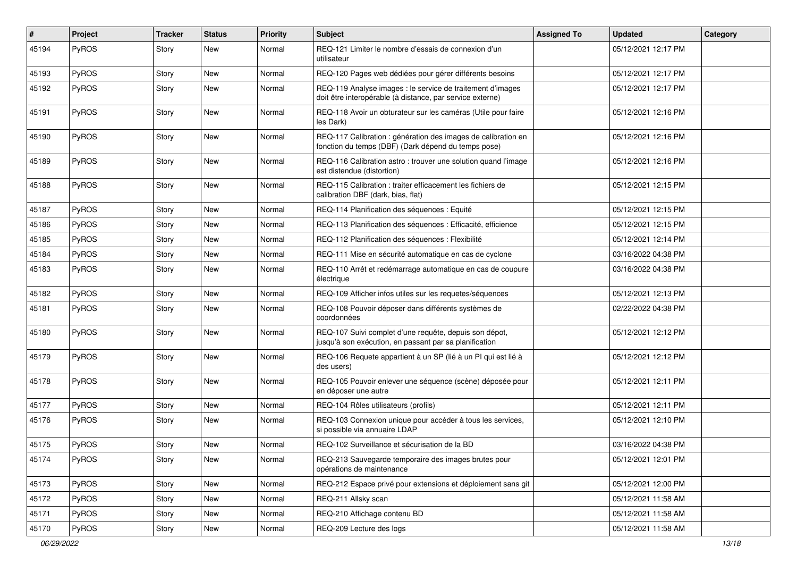| #     | Project | <b>Tracker</b> | <b>Status</b> | <b>Priority</b> | <b>Subject</b>                                                                                                          | <b>Assigned To</b> | <b>Updated</b>      | Category |
|-------|---------|----------------|---------------|-----------------|-------------------------------------------------------------------------------------------------------------------------|--------------------|---------------------|----------|
| 45194 | PyROS   | Story          | New           | Normal          | REQ-121 Limiter le nombre d'essais de connexion d'un<br>utilisateur                                                     |                    | 05/12/2021 12:17 PM |          |
| 45193 | PyROS   | Story          | <b>New</b>    | Normal          | REQ-120 Pages web dédiées pour gérer différents besoins                                                                 |                    | 05/12/2021 12:17 PM |          |
| 45192 | PyROS   | Story          | New           | Normal          | REQ-119 Analyse images : le service de traitement d'images<br>doit être interopérable (à distance, par service externe) |                    | 05/12/2021 12:17 PM |          |
| 45191 | PyROS   | Story          | New           | Normal          | REQ-118 Avoir un obturateur sur les caméras (Utile pour faire<br>les Dark)                                              |                    | 05/12/2021 12:16 PM |          |
| 45190 | PyROS   | Story          | New           | Normal          | REQ-117 Calibration : génération des images de calibration en<br>fonction du temps (DBF) (Dark dépend du temps pose)    |                    | 05/12/2021 12:16 PM |          |
| 45189 | PyROS   | Story          | New           | Normal          | REQ-116 Calibration astro: trouver une solution quand l'image<br>est distendue (distortion)                             |                    | 05/12/2021 12:16 PM |          |
| 45188 | PyROS   | Story          | New           | Normal          | REQ-115 Calibration : traiter efficacement les fichiers de<br>calibration DBF (dark, bias, flat)                        |                    | 05/12/2021 12:15 PM |          |
| 45187 | PyROS   | Story          | <b>New</b>    | Normal          | REQ-114 Planification des séquences : Equité                                                                            |                    | 05/12/2021 12:15 PM |          |
| 45186 | PyROS   | Story          | New           | Normal          | REQ-113 Planification des séquences : Efficacité, efficience                                                            |                    | 05/12/2021 12:15 PM |          |
| 45185 | PyROS   | Story          | New           | Normal          | REQ-112 Planification des séquences : Flexibilité                                                                       |                    | 05/12/2021 12:14 PM |          |
| 45184 | PyROS   | Story          | New           | Normal          | REQ-111 Mise en sécurité automatique en cas de cyclone                                                                  |                    | 03/16/2022 04:38 PM |          |
| 45183 | PyROS   | Story          | New           | Normal          | REQ-110 Arrêt et redémarrage automatique en cas de coupure<br>électrique                                                |                    | 03/16/2022 04:38 PM |          |
| 45182 | PyROS   | Story          | New           | Normal          | REQ-109 Afficher infos utiles sur les requetes/séquences                                                                |                    | 05/12/2021 12:13 PM |          |
| 45181 | PyROS   | Story          | New           | Normal          | REQ-108 Pouvoir déposer dans différents systèmes de<br>coordonnées                                                      |                    | 02/22/2022 04:38 PM |          |
| 45180 | PyROS   | Story          | New           | Normal          | REQ-107 Suivi complet d'une requête, depuis son dépot,<br>jusqu'à son exécution, en passant par sa planification        |                    | 05/12/2021 12:12 PM |          |
| 45179 | PyROS   | Story          | New           | Normal          | REQ-106 Requete appartient à un SP (lié à un PI qui est lié à<br>des users)                                             |                    | 05/12/2021 12:12 PM |          |
| 45178 | PyROS   | Story          | New           | Normal          | REQ-105 Pouvoir enlever une séquence (scène) déposée pour<br>en déposer une autre                                       |                    | 05/12/2021 12:11 PM |          |
| 45177 | PyROS   | Story          | New           | Normal          | REQ-104 Rôles utilisateurs (profils)                                                                                    |                    | 05/12/2021 12:11 PM |          |
| 45176 | PyROS   | Story          | New           | Normal          | REQ-103 Connexion unique pour accéder à tous les services,<br>si possible via annuaire LDAP                             |                    | 05/12/2021 12:10 PM |          |
| 45175 | PyROS   | Story          | New           | Normal          | REQ-102 Surveillance et sécurisation de la BD                                                                           |                    | 03/16/2022 04:38 PM |          |
| 45174 | PyROS   | Story          | New           | Normal          | REQ-213 Sauvegarde temporaire des images brutes pour<br>opérations de maintenance                                       |                    | 05/12/2021 12:01 PM |          |
| 45173 | PyROS   | Story          | New           | Normal          | REQ-212 Espace privé pour extensions et déploiement sans git                                                            |                    | 05/12/2021 12:00 PM |          |
| 45172 | PyROS   | Story          | New           | Normal          | REQ-211 Allsky scan                                                                                                     |                    | 05/12/2021 11:58 AM |          |
| 45171 | PyROS   | Story          | New           | Normal          | REQ-210 Affichage contenu BD                                                                                            |                    | 05/12/2021 11:58 AM |          |
| 45170 | PyROS   | Story          | New           | Normal          | REQ-209 Lecture des logs                                                                                                |                    | 05/12/2021 11:58 AM |          |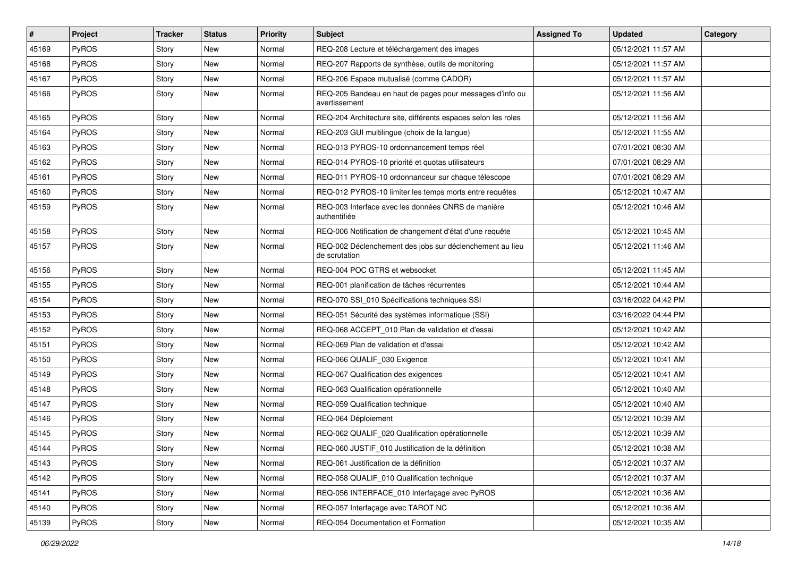| #     | <b>Project</b> | <b>Tracker</b> | <b>Status</b> | <b>Priority</b> | <b>Subject</b>                                                            | <b>Assigned To</b> | <b>Updated</b>      | Category |
|-------|----------------|----------------|---------------|-----------------|---------------------------------------------------------------------------|--------------------|---------------------|----------|
| 45169 | <b>PyROS</b>   | Story          | New           | Normal          | REQ-208 Lecture et téléchargement des images                              |                    | 05/12/2021 11:57 AM |          |
| 45168 | PyROS          | Story          | <b>New</b>    | Normal          | REQ-207 Rapports de synthèse, outils de monitoring                        |                    | 05/12/2021 11:57 AM |          |
| 45167 | PyROS          | Story          | New           | Normal          | REQ-206 Espace mutualisé (comme CADOR)                                    |                    | 05/12/2021 11:57 AM |          |
| 45166 | PyROS          | Story          | New           | Normal          | REQ-205 Bandeau en haut de pages pour messages d'info ou<br>avertissement |                    | 05/12/2021 11:56 AM |          |
| 45165 | <b>PyROS</b>   | Story          | New           | Normal          | REQ-204 Architecture site, différents espaces selon les roles             |                    | 05/12/2021 11:56 AM |          |
| 45164 | <b>PyROS</b>   | Story          | <b>New</b>    | Normal          | REQ-203 GUI multilingue (choix de la langue)                              |                    | 05/12/2021 11:55 AM |          |
| 45163 | PyROS          | Story          | New           | Normal          | REQ-013 PYROS-10 ordonnancement temps réel                                |                    | 07/01/2021 08:30 AM |          |
| 45162 | PyROS          | Story          | New           | Normal          | REQ-014 PYROS-10 priorité et quotas utilisateurs                          |                    | 07/01/2021 08:29 AM |          |
| 45161 | PyROS          | Story          | <b>New</b>    | Normal          | REQ-011 PYROS-10 ordonnanceur sur chaque télescope                        |                    | 07/01/2021 08:29 AM |          |
| 45160 | <b>PyROS</b>   | Story          | New           | Normal          | REQ-012 PYROS-10 limiter les temps morts entre requêtes                   |                    | 05/12/2021 10:47 AM |          |
| 45159 | PyROS          | Story          | New           | Normal          | REQ-003 Interface avec les données CNRS de manière<br>authentifiée        |                    | 05/12/2021 10:46 AM |          |
| 45158 | PyROS          | Story          | New           | Normal          | REQ-006 Notification de changement d'état d'une requête                   |                    | 05/12/2021 10:45 AM |          |
| 45157 | PyROS          | Story          | New           | Normal          | REQ-002 Déclenchement des jobs sur déclenchement au lieu<br>de scrutation |                    | 05/12/2021 11:46 AM |          |
| 45156 | PyROS          | Story          | <b>New</b>    | Normal          | REQ-004 POC GTRS et websocket                                             |                    | 05/12/2021 11:45 AM |          |
| 45155 | PyROS          | Story          | New           | Normal          | REQ-001 planification de tâches récurrentes                               |                    | 05/12/2021 10:44 AM |          |
| 45154 | <b>PyROS</b>   | Story          | New           | Normal          | REQ-070 SSI_010 Spécifications techniques SSI                             |                    | 03/16/2022 04:42 PM |          |
| 45153 | PyROS          | Story          | New           | Normal          | REQ-051 Sécurité des systèmes informatique (SSI)                          |                    | 03/16/2022 04:44 PM |          |
| 45152 | PyROS          | Story          | New           | Normal          | REQ-068 ACCEPT_010 Plan de validation et d'essai                          |                    | 05/12/2021 10:42 AM |          |
| 45151 | PyROS          | Story          | New           | Normal          | REQ-069 Plan de validation et d'essai                                     |                    | 05/12/2021 10:42 AM |          |
| 45150 | PyROS          | Story          | <b>New</b>    | Normal          | REQ-066 QUALIF_030 Exigence                                               |                    | 05/12/2021 10:41 AM |          |
| 45149 | PyROS          | Story          | New           | Normal          | REQ-067 Qualification des exigences                                       |                    | 05/12/2021 10:41 AM |          |
| 45148 | PyROS          | Story          | New           | Normal          | REQ-063 Qualification opérationnelle                                      |                    | 05/12/2021 10:40 AM |          |
| 45147 | PyROS          | Story          | <b>New</b>    | Normal          | REQ-059 Qualification technique                                           |                    | 05/12/2021 10:40 AM |          |
| 45146 | PyROS          | Story          | New           | Normal          | REQ-064 Déploiement                                                       |                    | 05/12/2021 10:39 AM |          |
| 45145 | PyROS          | Story          | New           | Normal          | REQ-062 QUALIF_020 Qualification opérationnelle                           |                    | 05/12/2021 10:39 AM |          |
| 45144 | PyROS          | Story          | New           | Normal          | REQ-060 JUSTIF_010 Justification de la définition                         |                    | 05/12/2021 10:38 AM |          |
| 45143 | PyROS          | Story          | New           | Normal          | REQ-061 Justification de la définition                                    |                    | 05/12/2021 10:37 AM |          |
| 45142 | PyROS          | Story          | New           | Normal          | REQ-058 QUALIF_010 Qualification technique                                |                    | 05/12/2021 10:37 AM |          |
| 45141 | PyROS          | Story          | New           | Normal          | REQ-056 INTERFACE_010 Interfaçage avec PyROS                              |                    | 05/12/2021 10:36 AM |          |
| 45140 | PyROS          | Story          | New           | Normal          | REQ-057 Interfaçage avec TAROT NC                                         |                    | 05/12/2021 10:36 AM |          |
| 45139 | PyROS          | Story          | New           | Normal          | REQ-054 Documentation et Formation                                        |                    | 05/12/2021 10:35 AM |          |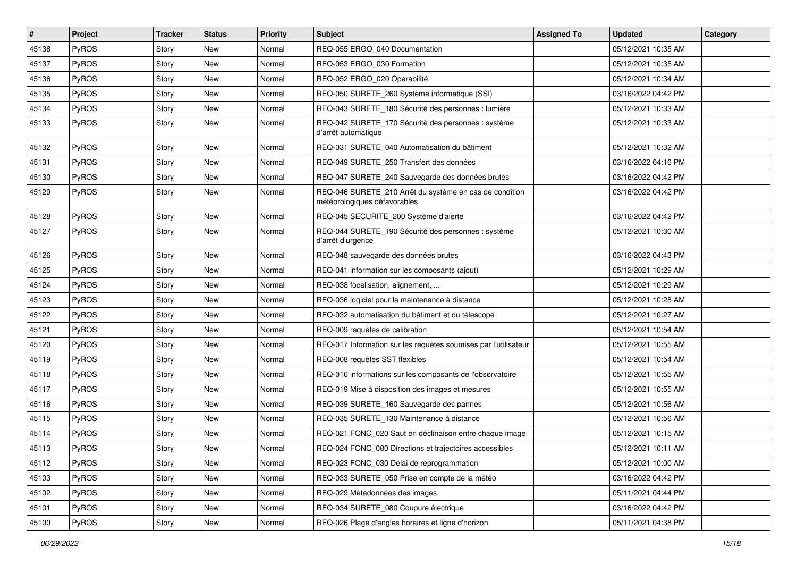| #     | Project      | <b>Tracker</b> | <b>Status</b> | <b>Priority</b> | <b>Subject</b>                                                                          | <b>Assigned To</b> | <b>Updated</b>      | Category |
|-------|--------------|----------------|---------------|-----------------|-----------------------------------------------------------------------------------------|--------------------|---------------------|----------|
| 45138 | PyROS        | Story          | New           | Normal          | REQ-055 ERGO_040 Documentation                                                          |                    | 05/12/2021 10:35 AM |          |
| 45137 | PyROS        | Story          | <b>New</b>    | Normal          | REQ-053 ERGO_030 Formation                                                              |                    | 05/12/2021 10:35 AM |          |
| 45136 | PyROS        | Story          | New           | Normal          | REQ-052 ERGO 020 Operabilité                                                            |                    | 05/12/2021 10:34 AM |          |
| 45135 | PyROS        | Story          | New           | Normal          | REQ-050 SURETE_260 Système informatique (SSI)                                           |                    | 03/16/2022 04:42 PM |          |
| 45134 | PyROS        | Story          | New           | Normal          | REQ-043 SURETE_180 Sécurité des personnes : lumière                                     |                    | 05/12/2021 10:33 AM |          |
| 45133 | PyROS        | Story          | New           | Normal          | REQ-042 SURETE_170 Sécurité des personnes : système<br>d'arrêt automatique              |                    | 05/12/2021 10:33 AM |          |
| 45132 | PyROS        | Story          | New           | Normal          | REQ-031 SURETE_040 Automatisation du bâtiment                                           |                    | 05/12/2021 10:32 AM |          |
| 45131 | PyROS        | Story          | <b>New</b>    | Normal          | REQ-049 SURETE 250 Transfert des données                                                |                    | 03/16/2022 04:16 PM |          |
| 45130 | PyROS        | Story          | <b>New</b>    | Normal          | REQ-047 SURETE_240 Sauvegarde des données brutes                                        |                    | 03/16/2022 04:42 PM |          |
| 45129 | PyROS        | Story          | New           | Normal          | REQ-046 SURETE_210 Arrêt du système en cas de condition<br>météorologiques défavorables |                    | 03/16/2022 04:42 PM |          |
| 45128 | PyROS        | Story          | <b>New</b>    | Normal          | REQ-045 SECURITE 200 Système d'alerte                                                   |                    | 03/16/2022 04:42 PM |          |
| 45127 | PyROS        | Story          | New           | Normal          | REQ-044 SURETE_190 Sécurité des personnes : système<br>d'arrêt d'urgence                |                    | 05/12/2021 10:30 AM |          |
| 45126 | PyROS        | Story          | New           | Normal          | REQ-048 sauvegarde des données brutes                                                   |                    | 03/16/2022 04:43 PM |          |
| 45125 | PyROS        | Story          | <b>New</b>    | Normal          | REQ-041 information sur les composants (ajout)                                          |                    | 05/12/2021 10:29 AM |          |
| 45124 | PyROS        | Story          | New           | Normal          | REQ-038 focalisation, alignement,                                                       |                    | 05/12/2021 10:29 AM |          |
| 45123 | PyROS        | Story          | New           | Normal          | REQ-036 logiciel pour la maintenance à distance                                         |                    | 05/12/2021 10:28 AM |          |
| 45122 | PyROS        | Story          | New           | Normal          | REQ-032 automatisation du bâtiment et du télescope                                      |                    | 05/12/2021 10:27 AM |          |
| 45121 | PyROS        | Story          | New           | Normal          | REQ-009 requêtes de calibration                                                         |                    | 05/12/2021 10:54 AM |          |
| 45120 | PyROS        | Story          | New           | Normal          | REQ-017 Information sur les requêtes soumises par l'utilisateur                         |                    | 05/12/2021 10:55 AM |          |
| 45119 | PyROS        | Story          | <b>New</b>    | Normal          | REQ-008 requêtes SST flexibles                                                          |                    | 05/12/2021 10:54 AM |          |
| 45118 | <b>PyROS</b> | Story          | New           | Normal          | REQ-016 informations sur les composants de l'observatoire                               |                    | 05/12/2021 10:55 AM |          |
| 45117 | PyROS        | Story          | New           | Normal          | REQ-019 Mise à disposition des images et mesures                                        |                    | 05/12/2021 10:55 AM |          |
| 45116 | PyROS        | Story          | New           | Normal          | REQ-039 SURETE_160 Sauvegarde des pannes                                                |                    | 05/12/2021 10:56 AM |          |
| 45115 | PyROS        | Story          | New           | Normal          | REQ-035 SURETE_130 Maintenance à distance                                               |                    | 05/12/2021 10:56 AM |          |
| 45114 | PyROS        | Story          | <b>New</b>    | Normal          | REQ-021 FONC_020 Saut en déclinaison entre chaque image                                 |                    | 05/12/2021 10:15 AM |          |
| 45113 | PyROS        | Story          | New           | Normal          | REQ-024 FONC_080 Directions et trajectoires accessibles                                 |                    | 05/12/2021 10:11 AM |          |
| 45112 | PyROS        | Story          | New           | Normal          | REQ-023 FONC_030 Délai de reprogrammation                                               |                    | 05/12/2021 10:00 AM |          |
| 45103 | PyROS        | Story          | New           | Normal          | REQ-033 SURETE 050 Prise en compte de la météo                                          |                    | 03/16/2022 04:42 PM |          |
| 45102 | PyROS        | Story          | New           | Normal          | REQ-029 Métadonnées des images                                                          |                    | 05/11/2021 04:44 PM |          |
| 45101 | PyROS        | Story          | New           | Normal          | REQ-034 SURETE 080 Coupure électrique                                                   |                    | 03/16/2022 04:42 PM |          |
| 45100 | PyROS        | Story          | New           | Normal          | REQ-026 Plage d'angles horaires et ligne d'horizon                                      |                    | 05/11/2021 04:38 PM |          |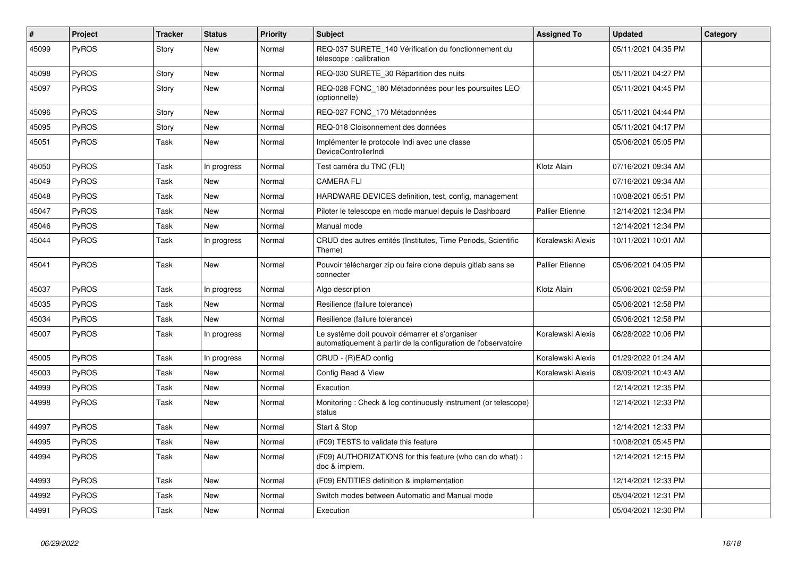| #     | <b>Project</b> | <b>Tracker</b> | <b>Status</b> | <b>Priority</b> | <b>Subject</b>                                                                                                    | <b>Assigned To</b>     | <b>Updated</b>      | Category |
|-------|----------------|----------------|---------------|-----------------|-------------------------------------------------------------------------------------------------------------------|------------------------|---------------------|----------|
| 45099 | PyROS          | Story          | New           | Normal          | REQ-037 SURETE_140 Vérification du fonctionnement du<br>télescope : calibration                                   |                        | 05/11/2021 04:35 PM |          |
| 45098 | <b>PyROS</b>   | Story          | <b>New</b>    | Normal          | REQ-030 SURETE 30 Répartition des nuits                                                                           |                        | 05/11/2021 04:27 PM |          |
| 45097 | <b>PyROS</b>   | Story          | New           | Normal          | REQ-028 FONC 180 Métadonnées pour les poursuites LEO<br>(optionnelle)                                             |                        | 05/11/2021 04:45 PM |          |
| 45096 | PyROS          | Story          | <b>New</b>    | Normal          | REQ-027 FONC_170 Métadonnées                                                                                      |                        | 05/11/2021 04:44 PM |          |
| 45095 | <b>PyROS</b>   | Story          | <b>New</b>    | Normal          | REQ-018 Cloisonnement des données                                                                                 |                        | 05/11/2021 04:17 PM |          |
| 45051 | PyROS          | Task           | <b>New</b>    | Normal          | Implémenter le protocole Indi avec une classe<br>DeviceControllerIndi                                             |                        | 05/06/2021 05:05 PM |          |
| 45050 | PyROS          | Task           | In progress   | Normal          | Test caméra du TNC (FLI)                                                                                          | Klotz Alain            | 07/16/2021 09:34 AM |          |
| 45049 | <b>PyROS</b>   | Task           | <b>New</b>    | Normal          | <b>CAMERA FLI</b>                                                                                                 |                        | 07/16/2021 09:34 AM |          |
| 45048 | PyROS          | Task           | <b>New</b>    | Normal          | HARDWARE DEVICES definition, test, config, management                                                             |                        | 10/08/2021 05:51 PM |          |
| 45047 | PyROS          | Task           | <b>New</b>    | Normal          | Piloter le telescope en mode manuel depuis le Dashboard                                                           | <b>Pallier Etienne</b> | 12/14/2021 12:34 PM |          |
| 45046 | PyROS          | Task           | New           | Normal          | Manual mode                                                                                                       |                        | 12/14/2021 12:34 PM |          |
| 45044 | <b>PyROS</b>   | Task           | In progress   | Normal          | CRUD des autres entités (Institutes, Time Periods, Scientific<br>Theme)                                           | Koralewski Alexis      | 10/11/2021 10:01 AM |          |
| 45041 | <b>PyROS</b>   | Task           | New           | Normal          | Pouvoir télécharger zip ou faire clone depuis gitlab sans se<br>connecter                                         | Pallier Etienne        | 05/06/2021 04:05 PM |          |
| 45037 | <b>PyROS</b>   | Task           | In progress   | Normal          | Algo description                                                                                                  | Klotz Alain            | 05/06/2021 02:59 PM |          |
| 45035 | PyROS          | Task           | <b>New</b>    | Normal          | Resilience (failure tolerance)                                                                                    |                        | 05/06/2021 12:58 PM |          |
| 45034 | PyROS          | Task           | <b>New</b>    | Normal          | Resilience (failure tolerance)                                                                                    |                        | 05/06/2021 12:58 PM |          |
| 45007 | PyROS          | Task           | In progress   | Normal          | Le système doit pouvoir démarrer et s'organiser<br>automatiquement à partir de la configuration de l'observatoire | Koralewski Alexis      | 06/28/2022 10:06 PM |          |
| 45005 | PyROS          | Task           | In progress   | Normal          | CRUD - (R)EAD config                                                                                              | Koralewski Alexis      | 01/29/2022 01:24 AM |          |
| 45003 | PyROS          | Task           | <b>New</b>    | Normal          | Config Read & View                                                                                                | Koralewski Alexis      | 08/09/2021 10:43 AM |          |
| 44999 | PyROS          | Task           | <b>New</b>    | Normal          | Execution                                                                                                         |                        | 12/14/2021 12:35 PM |          |
| 44998 | <b>PyROS</b>   | Task           | <b>New</b>    | Normal          | Monitoring: Check & log continuously instrument (or telescope)<br>status                                          |                        | 12/14/2021 12:33 PM |          |
| 44997 | PyROS          | Task           | <b>New</b>    | Normal          | Start & Stop                                                                                                      |                        | 12/14/2021 12:33 PM |          |
| 44995 | PyROS          | Task           | <b>New</b>    | Normal          | (F09) TESTS to validate this feature                                                                              |                        | 10/08/2021 05:45 PM |          |
| 44994 | <b>PyROS</b>   | Task           | <b>New</b>    | Normal          | (F09) AUTHORIZATIONS for this feature (who can do what):<br>doc & implem.                                         |                        | 12/14/2021 12:15 PM |          |
| 44993 | PyROS          | Task           | New           | Normal          | (F09) ENTITIES definition & implementation                                                                        |                        | 12/14/2021 12:33 PM |          |
| 44992 | <b>PyROS</b>   | Task           | New           | Normal          | Switch modes between Automatic and Manual mode                                                                    |                        | 05/04/2021 12:31 PM |          |
| 44991 | <b>PyROS</b>   | Task           | New           | Normal          | Execution                                                                                                         |                        | 05/04/2021 12:30 PM |          |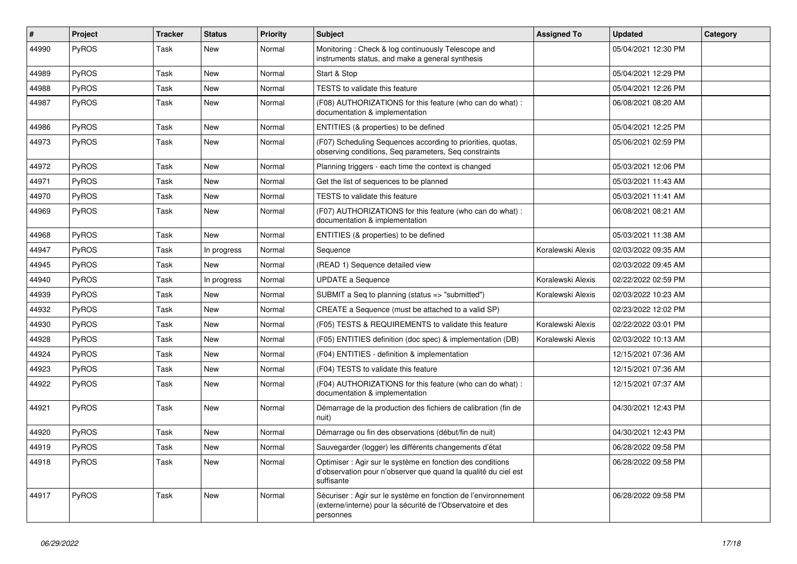| #     | Project      | <b>Tracker</b> | <b>Status</b> | <b>Priority</b> | <b>Subject</b>                                                                                                                             | <b>Assigned To</b> | <b>Updated</b>      | Category |
|-------|--------------|----------------|---------------|-----------------|--------------------------------------------------------------------------------------------------------------------------------------------|--------------------|---------------------|----------|
| 44990 | PyROS        | Task           | <b>New</b>    | Normal          | Monitoring: Check & log continuously Telescope and<br>instruments status, and make a general synthesis                                     |                    | 05/04/2021 12:30 PM |          |
| 44989 | PyROS        | Task           | New           | Normal          | Start & Stop                                                                                                                               |                    | 05/04/2021 12:29 PM |          |
| 44988 | PyROS        | Task           | New           | Normal          | <b>TESTS</b> to validate this feature                                                                                                      |                    | 05/04/2021 12:26 PM |          |
| 44987 | <b>PyROS</b> | Task           | New           | Normal          | (F08) AUTHORIZATIONS for this feature (who can do what) :<br>documentation & implementation                                                |                    | 06/08/2021 08:20 AM |          |
| 44986 | <b>PyROS</b> | Task           | <b>New</b>    | Normal          | ENTITIES (& properties) to be defined                                                                                                      |                    | 05/04/2021 12:25 PM |          |
| 44973 | <b>PyROS</b> | Task           | New           | Normal          | (F07) Scheduling Sequences according to priorities, quotas,<br>observing conditions, Seq parameters, Seq constraints                       |                    | 05/06/2021 02:59 PM |          |
| 44972 | PyROS        | Task           | <b>New</b>    | Normal          | Planning triggers - each time the context is changed                                                                                       |                    | 05/03/2021 12:06 PM |          |
| 44971 | PyROS        | Task           | <b>New</b>    | Normal          | Get the list of sequences to be planned                                                                                                    |                    | 05/03/2021 11:43 AM |          |
| 44970 | PyROS        | Task           | New           | Normal          | <b>TESTS</b> to validate this feature                                                                                                      |                    | 05/03/2021 11:41 AM |          |
| 44969 | <b>PyROS</b> | Task           | <b>New</b>    | Normal          | (F07) AUTHORIZATIONS for this feature (who can do what) :<br>documentation & implementation                                                |                    | 06/08/2021 08:21 AM |          |
| 44968 | PyROS        | Task           | New           | Normal          | ENTITIES (& properties) to be defined                                                                                                      |                    | 05/03/2021 11:38 AM |          |
| 44947 | PyROS        | Task           | In progress   | Normal          | Sequence                                                                                                                                   | Koralewski Alexis  | 02/03/2022 09:35 AM |          |
| 44945 | PyROS        | Task           | New           | Normal          | (READ 1) Sequence detailed view                                                                                                            |                    | 02/03/2022 09:45 AM |          |
| 44940 | <b>PyROS</b> | Task           | In progress   | Normal          | <b>UPDATE a Sequence</b>                                                                                                                   | Koralewski Alexis  | 02/22/2022 02:59 PM |          |
| 44939 | PyROS        | Task           | <b>New</b>    | Normal          | SUBMIT a Seq to planning (status => "submitted")                                                                                           | Koralewski Alexis  | 02/03/2022 10:23 AM |          |
| 44932 | PyROS        | Task           | <b>New</b>    | Normal          | CREATE a Sequence (must be attached to a valid SP)                                                                                         |                    | 02/23/2022 12:02 PM |          |
| 44930 | <b>PyROS</b> | Task           | New           | Normal          | (F05) TESTS & REQUIREMENTS to validate this feature                                                                                        | Koralewski Alexis  | 02/22/2022 03:01 PM |          |
| 44928 | <b>PyROS</b> | Task           | New           | Normal          | (F05) ENTITIES definition (doc spec) & implementation (DB)                                                                                 | Koralewski Alexis  | 02/03/2022 10:13 AM |          |
| 44924 | <b>PyROS</b> | Task           | <b>New</b>    | Normal          | (F04) ENTITIES - definition & implementation                                                                                               |                    | 12/15/2021 07:36 AM |          |
| 44923 | <b>PyROS</b> | Task           | New           | Normal          | (F04) TESTS to validate this feature                                                                                                       |                    | 12/15/2021 07:36 AM |          |
| 44922 | <b>PyROS</b> | Task           | New           | Normal          | (F04) AUTHORIZATIONS for this feature (who can do what):<br>documentation & implementation                                                 |                    | 12/15/2021 07:37 AM |          |
| 44921 | PyROS        | Task           | <b>New</b>    | Normal          | Démarrage de la production des fichiers de calibration (fin de<br>nuit)                                                                    |                    | 04/30/2021 12:43 PM |          |
| 44920 | PyROS        | Task           | New           | Normal          | Démarrage ou fin des observations (début/fin de nuit)                                                                                      |                    | 04/30/2021 12:43 PM |          |
| 44919 | PyROS        | Task           | <b>New</b>    | Normal          | Sauvegarder (logger) les différents changements d'état                                                                                     |                    | 06/28/2022 09:58 PM |          |
| 44918 | <b>PyROS</b> | Task           | New           | Normal          | Optimiser : Agir sur le système en fonction des conditions<br>d'observation pour n'observer que quand la qualité du ciel est<br>suffisante |                    | 06/28/2022 09:58 PM |          |
| 44917 | PyROS        | Task           | <b>New</b>    | Normal          | Sécuriser : Agir sur le système en fonction de l'environnement<br>(externe/interne) pour la sécurité de l'Observatoire et des<br>personnes |                    | 06/28/2022 09:58 PM |          |